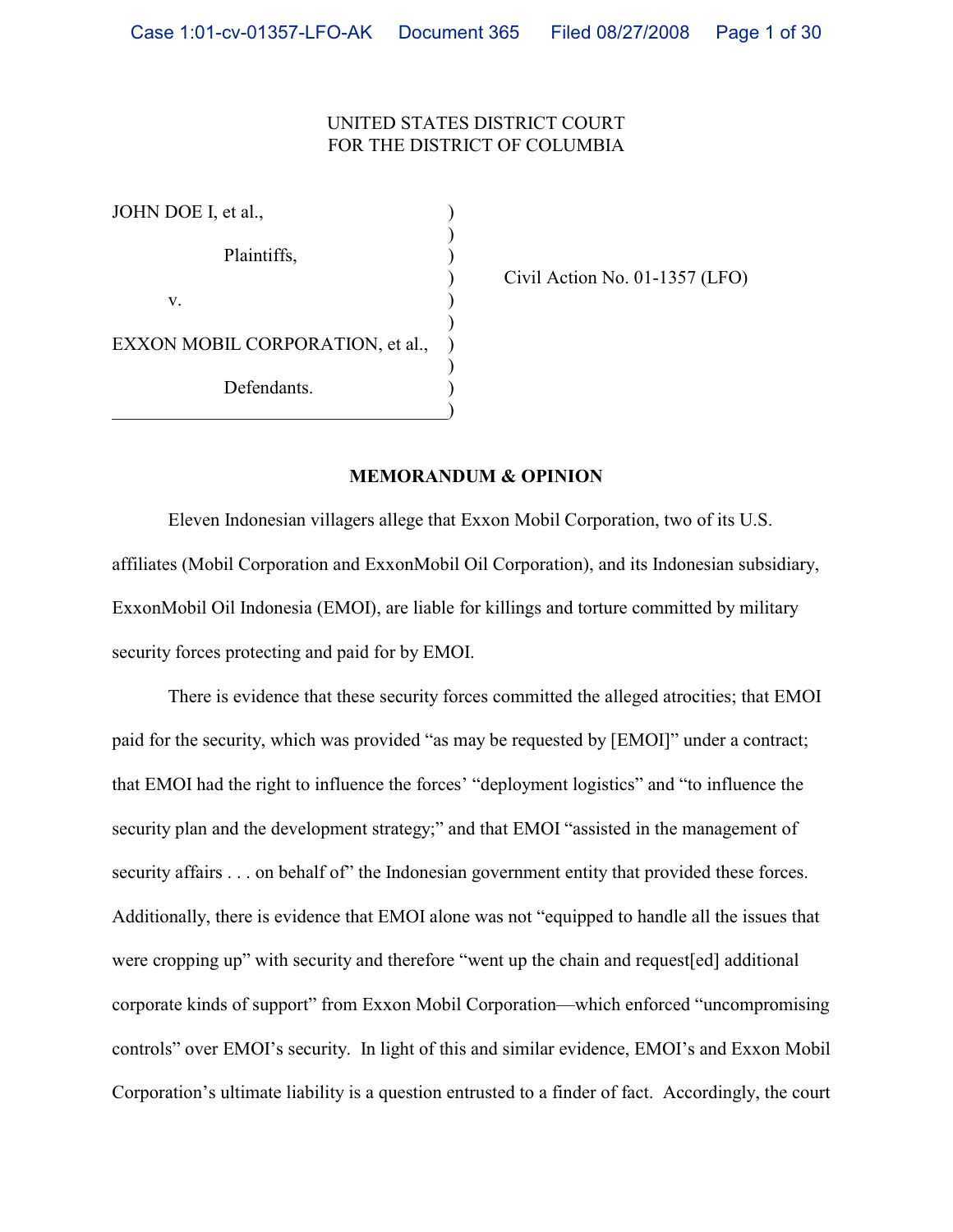# UNITED STATES DISTRICT COURT FOR THE DISTRICT OF COLUMBIA

| JOHN DOE I, et al.,              |  |
|----------------------------------|--|
| Plaintiffs,                      |  |
|                                  |  |
| V.                               |  |
| EXXON MOBIL CORPORATION, et al., |  |
| Defendants.                      |  |
|                                  |  |

) Civil Action No. 01-1357 (LFO)

### **MEMORANDUM & OPINION**

Eleven Indonesian villagers allege that Exxon Mobil Corporation, two of its U.S. affiliates (Mobil Corporation and ExxonMobil Oil Corporation), and its Indonesian subsidiary, ExxonMobil Oil Indonesia (EMOI), are liable for killings and torture committed by military security forces protecting and paid for by EMOI.

There is evidence that these security forces committed the alleged atrocities; that EMOI paid for the security, which was provided "as may be requested by [EMOI]" under a contract; that EMOI had the right to influence the forces' "deployment logistics" and "to influence the security plan and the development strategy;" and that EMOI "assisted in the management of security affairs . . . on behalf of" the Indonesian government entity that provided these forces. Additionally, there is evidence that EMOI alone was not "equipped to handle all the issues that were cropping up" with security and therefore "went up the chain and request[ed] additional corporate kinds of support" from Exxon Mobil Corporation—which enforced "uncompromising controls" over EMOI's security. In light of this and similar evidence, EMOI's and Exxon Mobil Corporation's ultimate liability is a question entrusted to a finder of fact. Accordingly, the court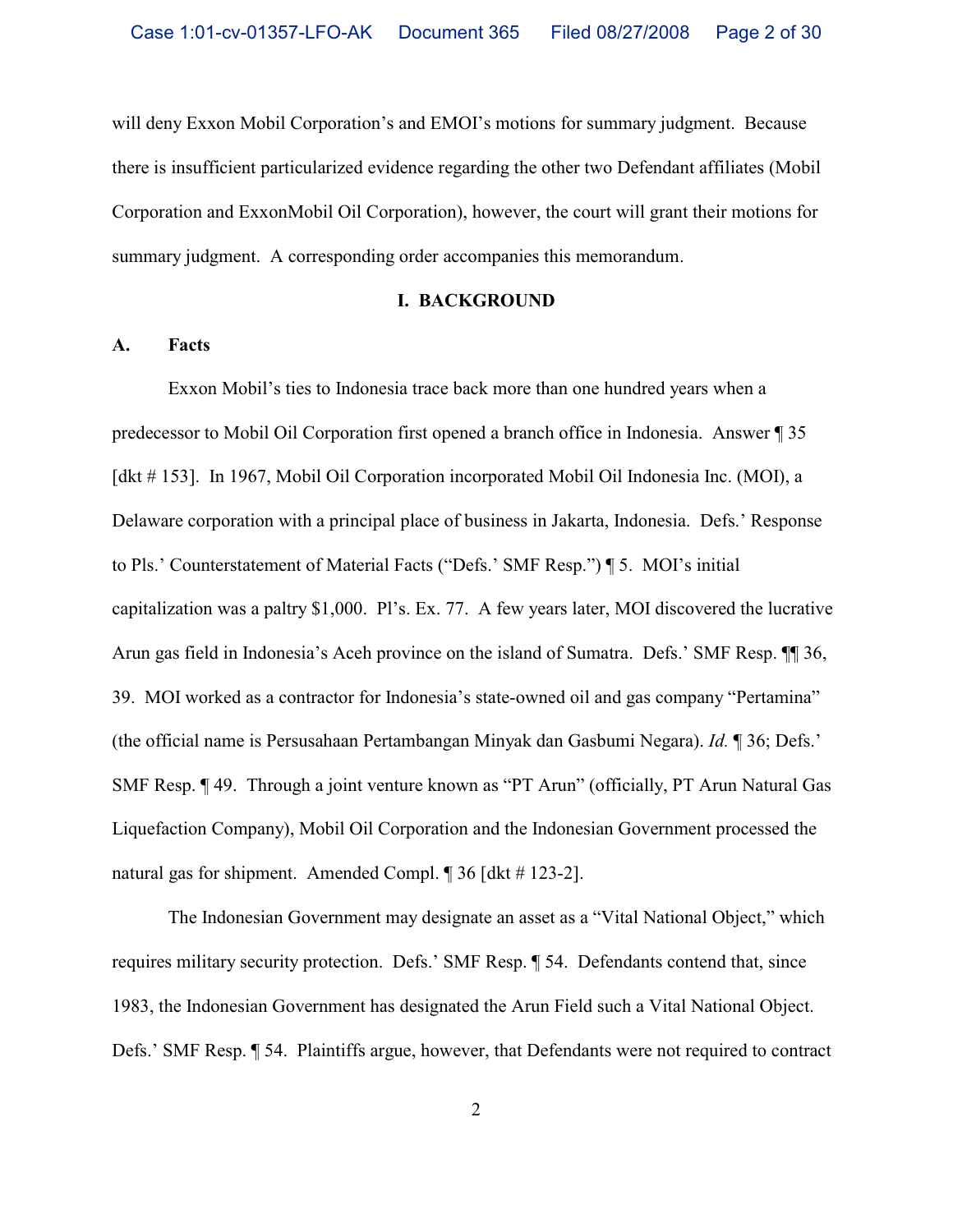will deny Exxon Mobil Corporation's and EMOI's motions for summary judgment. Because there is insufficient particularized evidence regarding the other two Defendant affiliates (Mobil Corporation and ExxonMobil Oil Corporation), however, the court will grant their motions for summary judgment.A corresponding order accompanies this memorandum.

#### **I. BACKGROUND**

### **A. Facts**

Exxon Mobil's ties to Indonesia trace back more than one hundred years when a predecessor to Mobil Oil Corporation first opened a branch office in Indonesia. Answer ¶ 35 [dkt # 153]. In 1967, Mobil Oil Corporation incorporated Mobil Oil Indonesia Inc. (MOI), a Delaware corporation with a principal place of business in Jakarta, Indonesia. Defs.' Response to Pls.' Counterstatement of Material Facts ("Defs.' SMF Resp.") ¶ 5. MOI's initial capitalization was a paltry \$1,000. Pl's. Ex. 77. A few years later, MOI discovered the lucrative Arun gas field in Indonesia's Aceh province on the island of Sumatra. Defs.' SMF Resp. ¶¶ 36, 39. MOI worked as a contractor for Indonesia's state-owned oil and gas company "Pertamina" (the official name is Persusahaan Pertambangan Minyak dan Gasbumi Negara). *Id.* ¶ 36; Defs.' SMF Resp. ¶ 49. Through a joint venture known as "PT Arun" (officially, PT Arun Natural Gas Liquefaction Company), Mobil Oil Corporation and the Indonesian Government processed the natural gas for shipment. Amended Compl. ¶ 36 [dkt # 123-2].

The Indonesian Government may designate an asset as a "Vital National Object," which requires military security protection. Defs.' SMF Resp. ¶ 54. Defendants contend that, since 1983, the Indonesian Government has designated the Arun Field such a Vital National Object. Defs.' SMF Resp. ¶ 54.Plaintiffs argue, however, that Defendants were not required to contract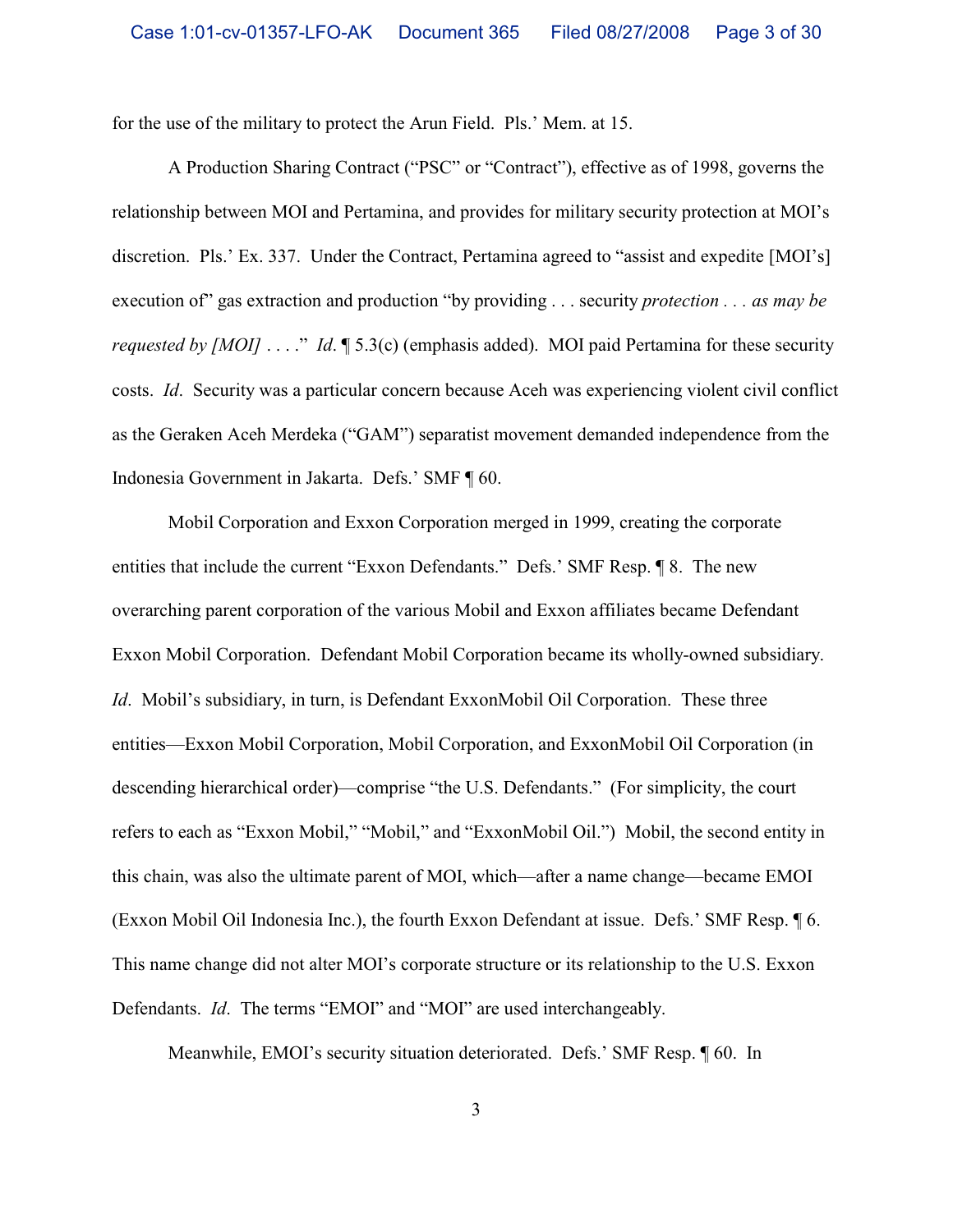for the use of the military to protect the Arun Field. Pls.' Mem. at 15.

A Production Sharing Contract ("PSC" or "Contract"), effective as of 1998, governs the relationship between MOI and Pertamina, and provides for military security protection at MOI's discretion. Pls.' Ex. 337. Under the Contract, Pertamina agreed to "assist and expedite [MOI's] execution of" gas extraction and production "by providing . . . security *protection . . . as may be requested by [MOI]* . . . ." *Id*. **[5.3(c)** (emphasis added). MOI paid Pertamina for these security costs. *Id*.Security was a particular concern because Aceh was experiencing violent civil conflict as the Geraken Aceh Merdeka ("GAM") separatist movement demanded independence from the Indonesia Government in Jakarta. Defs.' SMF ¶ 60.

Mobil Corporation and Exxon Corporation merged in 1999, creating the corporate entities that include the current "Exxon Defendants." Defs.' SMF Resp. ¶ 8. The new overarching parent corporation of the various Mobil and Exxon affiliates became Defendant Exxon Mobil Corporation.Defendant Mobil Corporation became its wholly-owned subsidiary. *Id.* Mobil's subsidiary, in turn, is Defendant ExxonMobil Oil Corporation. These three entities—Exxon Mobil Corporation, Mobil Corporation, and ExxonMobil Oil Corporation (in descending hierarchical order)—comprise "the U.S. Defendants." (For simplicity, the court refers to each as "Exxon Mobil," "Mobil," and "ExxonMobil Oil.") Mobil, the second entity in this chain, was also the ultimate parent of MOI, which—after a name change—became EMOI (Exxon Mobil Oil Indonesia Inc.), the fourth Exxon Defendant at issue. Defs.' SMF Resp. ¶ 6. This name change did not alter MOI's corporate structure or its relationship to the U.S. Exxon Defendants. *Id*.The terms "EMOI" and "MOI" are used interchangeably.

Meanwhile, EMOI's security situation deteriorated. Defs.' SMF Resp. ¶ 60. In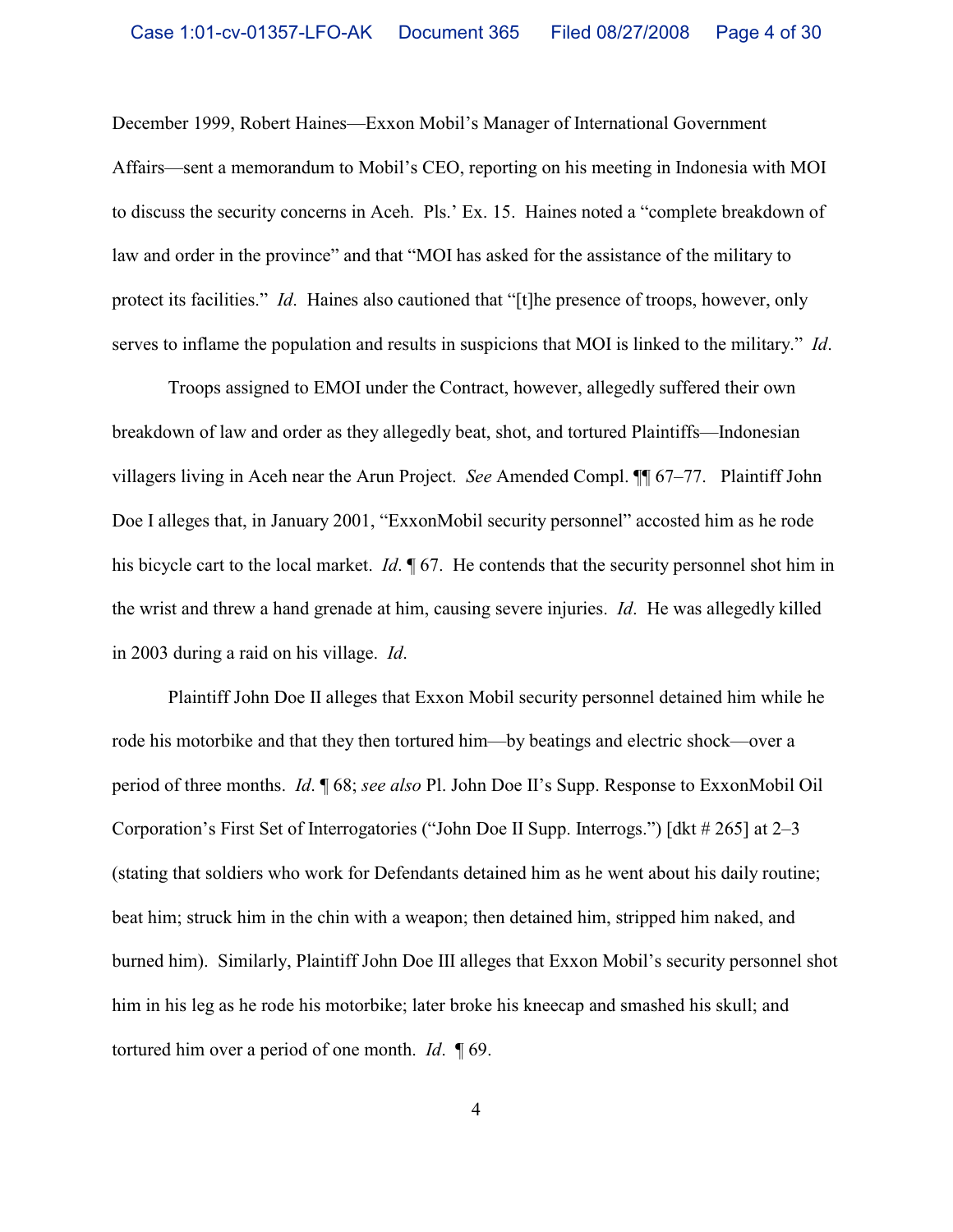December 1999, Robert Haines—Exxon Mobil's Manager of International Government Affairs—sent a memorandum to Mobil's CEO, reporting on his meeting in Indonesia with MOI to discuss the security concerns in Aceh. Pls.' Ex. 15. Haines noted a "complete breakdown of law and order in the province" and that "MOI has asked for the assistance of the military to protect its facilities." *Id*. Haines also cautioned that "[t]he presence of troops, however, only serves to inflame the population and results in suspicions that MOI is linked to the military." *Id*.

Troops assigned to EMOI under the Contract, however, allegedly suffered their own breakdown of law and order as they allegedly beat, shot, and tortured Plaintiffs—Indonesian villagers living in Aceh near the Arun Project. *See* Amended Compl. ¶¶ 67–77.Plaintiff John Doe I alleges that, in January 2001, "ExxonMobil security personnel" accosted him as he rode his bicycle cart to the local market. *Id*. ¶ 67. He contends that the security personnel shot him in the wrist and threw a hand grenade at him, causing severe injuries. *Id*. He was allegedly killed in 2003 during a raid on his village. *Id*.

Plaintiff John Doe II alleges that Exxon Mobil security personnel detained him while he rode his motorbike and that they then tortured him—by beatings and electric shock—over a period of three months. *Id*. ¶ 68; *see also* Pl. John Doe II's Supp. Response to ExxonMobil Oil Corporation's First Set of Interrogatories ("John Doe II Supp. Interrogs.") [dkt # 265] at 2–3 (stating that soldiers who work for Defendants detained him as he went about his daily routine; beat him; struck him in the chin with a weapon; then detained him, stripped him naked, and burned him). Similarly, Plaintiff John Doe III alleges that Exxon Mobil's security personnel shot him in his leg as he rode his motorbike; later broke his kneecap and smashed his skull; and tortured him over a period of one month. *Id*. ¶ 69.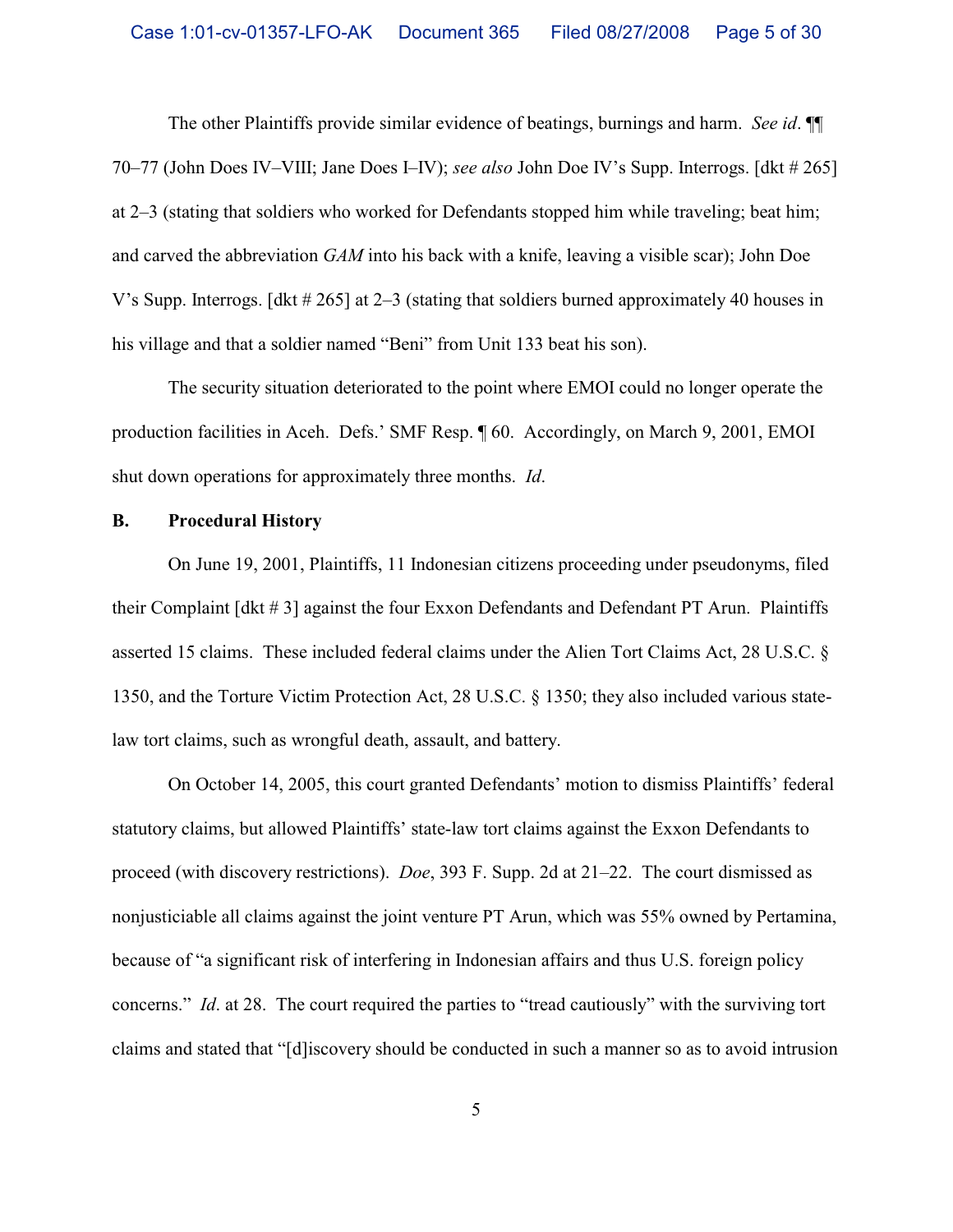The other Plaintiffs provide similar evidence of beatings, burnings and harm. *See id*. ¶¶ 70–77 (John Does IV–VIII; Jane Does I–IV); *see also* John Doe IV's Supp. Interrogs. [dkt # 265] at 2–3 (stating that soldiers who worked for Defendants stopped him while traveling; beat him; and carved the abbreviation *GAM* into his back with a knife, leaving a visible scar); John Doe V's Supp. Interrogs. [dkt # 265] at 2–3 (stating that soldiers burned approximately 40 houses in his village and that a soldier named "Beni" from Unit 133 beat his son).

The security situation deteriorated to the point where EMOI could no longer operate the production facilities in Aceh. Defs.' SMF Resp. ¶ 60. Accordingly, on March 9, 2001, EMOI shut down operations for approximately three months. *Id*.

### **B. Procedural History**

On June 19, 2001, Plaintiffs, 11 Indonesian citizens proceeding under pseudonyms, filed their Complaint [dkt # 3] against the four Exxon Defendants and Defendant PT Arun. Plaintiffs asserted 15 claims. These included federal claims under the Alien Tort Claims Act, 28 U.S.C. § 1350, and the Torture Victim Protection Act, 28 U.S.C. § 1350; they also included various statelaw tort claims, such as wrongful death, assault, and battery.

On October 14, 2005, this court granted Defendants' motion to dismiss Plaintiffs' federal statutory claims, but allowed Plaintiffs' state-law tort claims against the Exxon Defendants to proceed (with discovery restrictions). *Doe*, 393 F. Supp. 2d at 21–22.The court dismissed as nonjusticiable all claims against the joint venture PT Arun, which was 55% owned by Pertamina, because of "a significant risk of interfering in Indonesian affairs and thus U.S. foreign policy concerns." *Id*. at 28.The court required the parties to "tread cautiously" with the surviving tort claims and stated that "[d]iscovery should be conducted in such a manner so as to avoid intrusion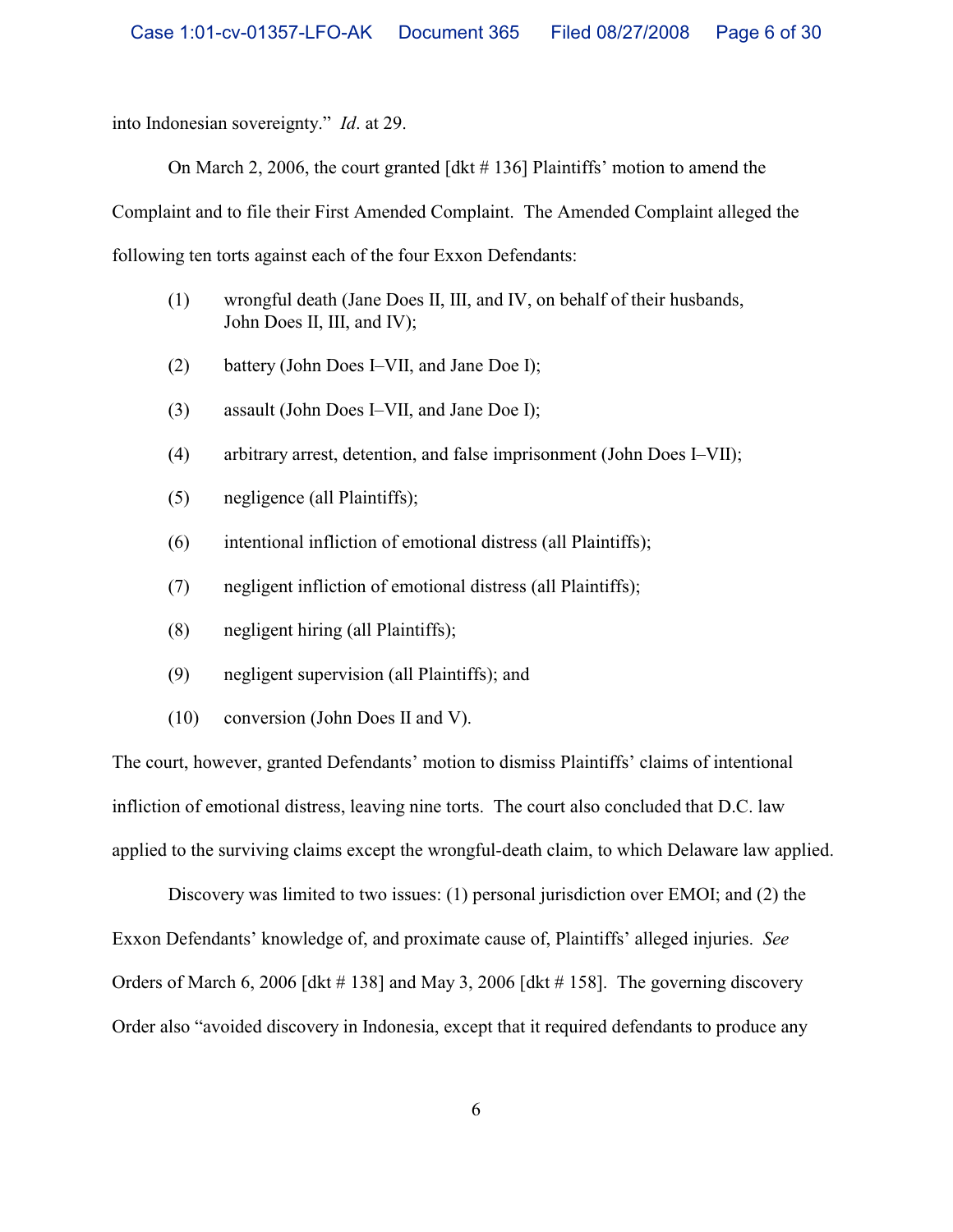into Indonesian sovereignty." *Id*. at 29.

On March 2, 2006, the court granted [dkt # 136] Plaintiffs' motion to amend the

Complaint and to file their First Amended Complaint. The Amended Complaint alleged the

following ten torts against each of the four Exxon Defendants:

- (1) wrongful death (Jane Does II, III, and IV, on behalf of their husbands, John Does II, III, and IV);
- (2) battery (John Does I–VII, and Jane Doe I);
- (3) assault (John Does I–VII, and Jane Doe I);
- (4) arbitrary arrest, detention, and false imprisonment (John Does I–VII);
- (5) negligence (all Plaintiffs);
- (6) intentional infliction of emotional distress (all Plaintiffs);
- (7) negligent infliction of emotional distress (all Plaintiffs);
- (8) negligent hiring (all Plaintiffs);
- (9) negligent supervision (all Plaintiffs); and
- (10) conversion (John Does II and V).

The court, however, granted Defendants' motion to dismiss Plaintiffs' claims of intentional infliction of emotional distress, leaving nine torts. The court also concluded that D.C. law applied to the surviving claims except the wrongful-death claim, to which Delaware law applied.

Discovery was limited to two issues: (1) personal jurisdiction over EMOI; and (2) the Exxon Defendants' knowledge of, and proximate cause of, Plaintiffs' alleged injuries. *See* Orders of March 6, 2006 [dkt # 138] and May 3, 2006 [dkt # 158]. The governing discovery Order also "avoided discovery in Indonesia, except that it required defendants to produce any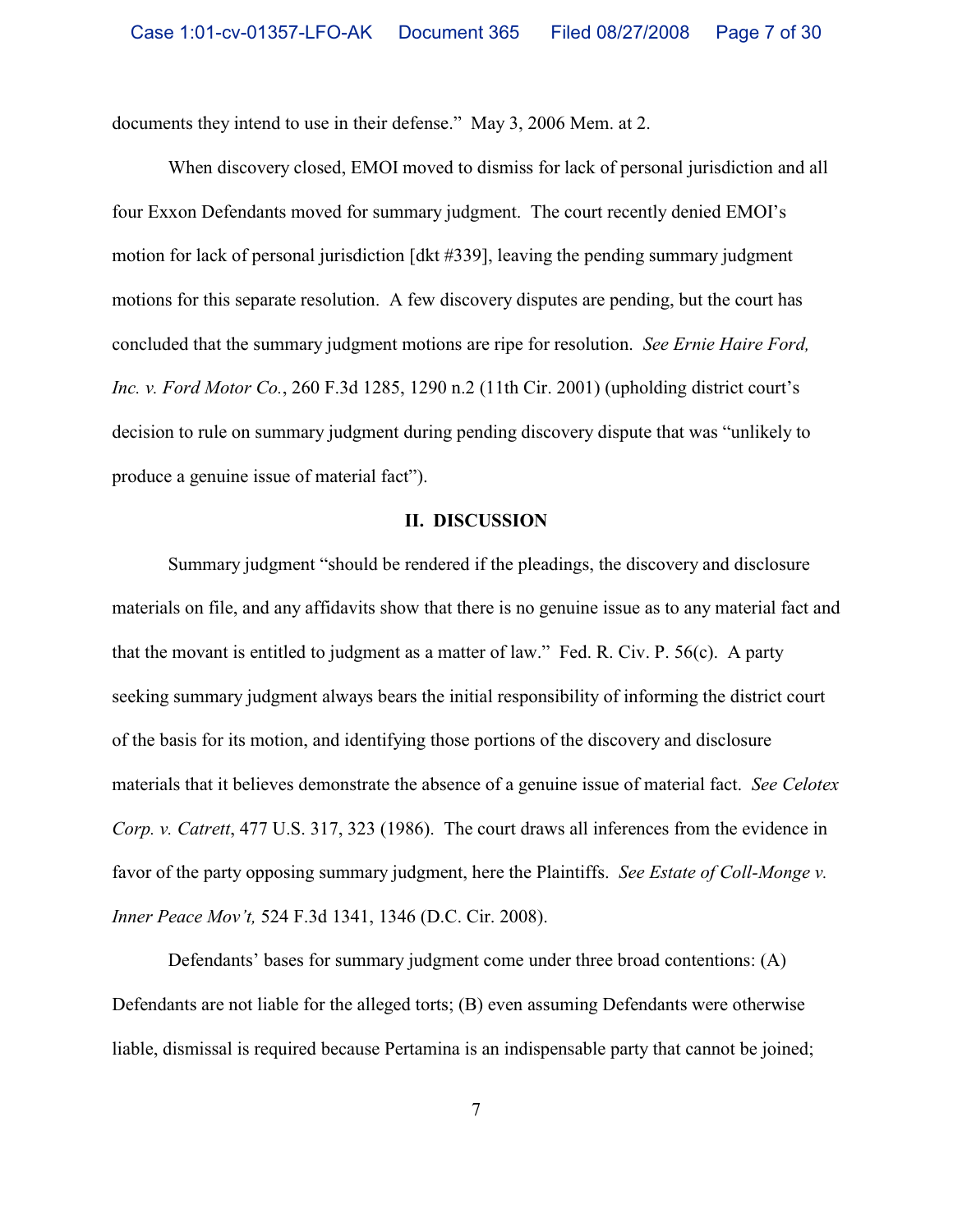documents they intend to use in their defense." May 3, 2006 Mem. at 2.

When discovery closed, EMOI moved to dismiss for lack of personal jurisdiction and all four Exxon Defendants moved for summary judgment. The court recently denied EMOI's motion for lack of personal jurisdiction [dkt #339], leaving the pending summary judgment motions for this separate resolution. A few discovery disputes are pending, but the court has concluded that the summary judgment motions are ripe for resolution. *See Ernie Haire Ford, Inc. v. Ford Motor Co.*, 260 F.3d 1285, 1290 n.2 (11th Cir. 2001) (upholding district court's decision to rule on summary judgment during pending discovery dispute that was "unlikely to produce a genuine issue of material fact").

#### **II. DISCUSSION**

Summary judgment "should be rendered if the pleadings, the discovery and disclosure materials on file, and any affidavits show that there is no genuine issue as to any material fact and that the movant is entitled to judgment as a matter of law." Fed. R. Civ. P. 56(c). A party seeking summary judgment always bears the initial responsibility of informing the district court of the basis for its motion, and identifying those portions of the discovery and disclosure materials that it believes demonstrate the absence of a genuine issue of material fact. *See Celotex Corp. v. Catrett*, 477 U.S. 317, 323 (1986). The court draws all inferences from the evidence in favor of the party opposing summary judgment, here the Plaintiffs. *See Estate of Coll-Monge v. Inner Peace Mov't,* 524 F.3d 1341, 1346 (D.C. Cir. 2008).

Defendants' bases for summary judgment come under three broad contentions: (A) Defendants are not liable for the alleged torts; (B) even assuming Defendants were otherwise liable, dismissal is required because Pertamina is an indispensable party that cannot be joined;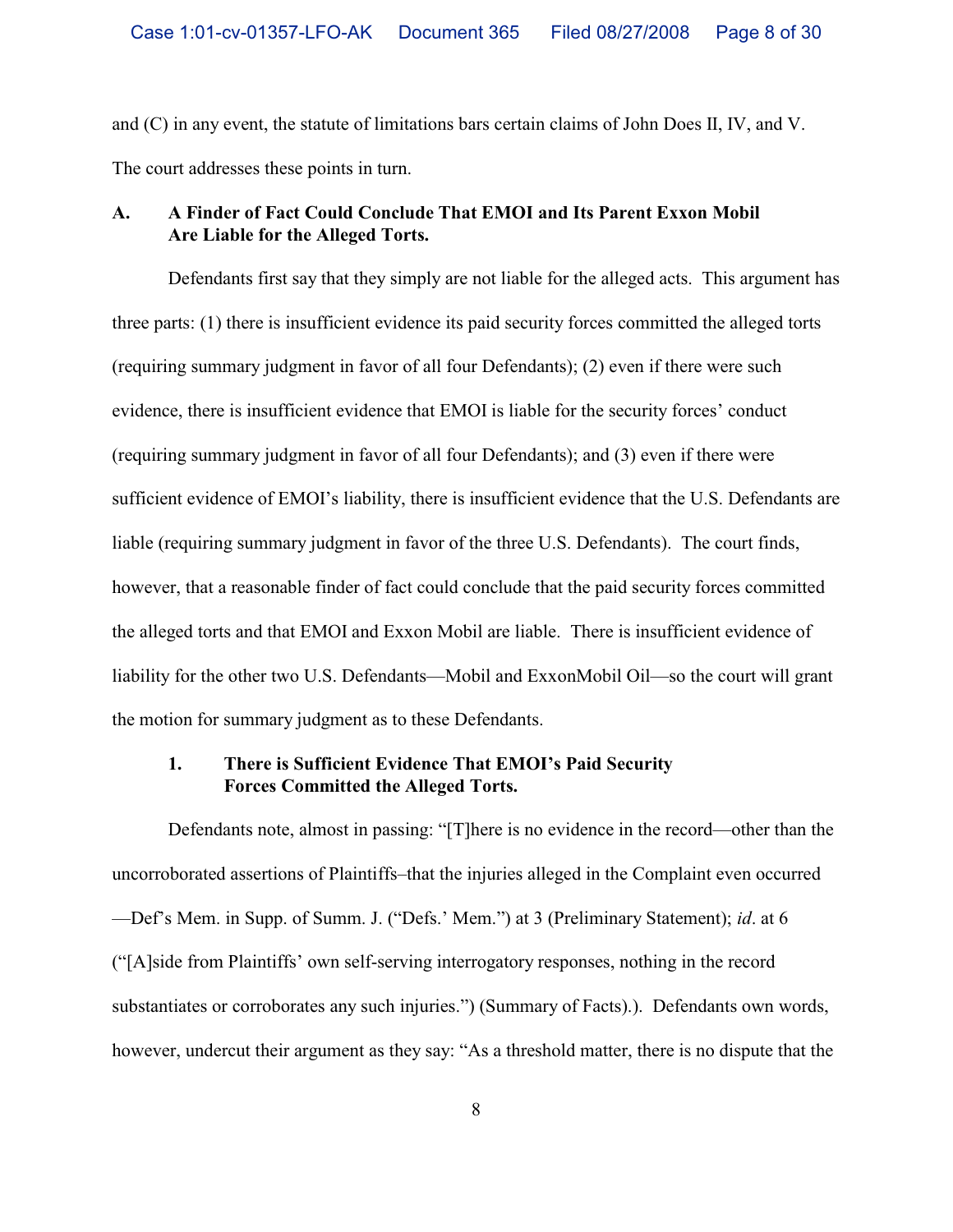and (C) in any event, the statute of limitations bars certain claims of John Does II, IV, and V. The court addresses these points in turn.

## **A. A Finder of Fact Could Conclude That EMOI and Its Parent Exxon Mobil Are Liable for the Alleged Torts.**

Defendants first say that they simply are not liable for the alleged acts. This argument has three parts: (1) there is insufficient evidence its paid security forces committed the alleged torts (requiring summary judgment in favor of all four Defendants); (2) even if there were such evidence, there is insufficient evidence that EMOI is liable for the security forces' conduct (requiring summary judgment in favor of all four Defendants); and (3) even if there were sufficient evidence of EMOI's liability, there is insufficient evidence that the U.S. Defendants are liable (requiring summary judgment in favor of the three U.S. Defendants).The court finds, however, that a reasonable finder of fact could conclude that the paid security forces committed the alleged torts and that EMOI and Exxon Mobil are liable. There is insufficient evidence of liability for the other two U.S. Defendants—Mobil and ExxonMobil Oil—so the court will grant the motion for summary judgment as to these Defendants.

# **1. There is Sufficient Evidence That EMOI's Paid Security Forces Committed the Alleged Torts.**

Defendants note, almost in passing: "[T]here is no evidence in the record—other than the uncorroborated assertions of Plaintiffs–that the injuries alleged in the Complaint even occurred —Def's Mem. in Supp. of Summ. J. ("Defs.' Mem.") at 3 (Preliminary Statement); *id*. at 6 ("[A]side from Plaintiffs' own self-serving interrogatory responses, nothing in the record substantiates or corroborates any such injuries.") (Summary of Facts).). Defendants own words, however, undercut their argument as they say: "As a threshold matter, there is no dispute that the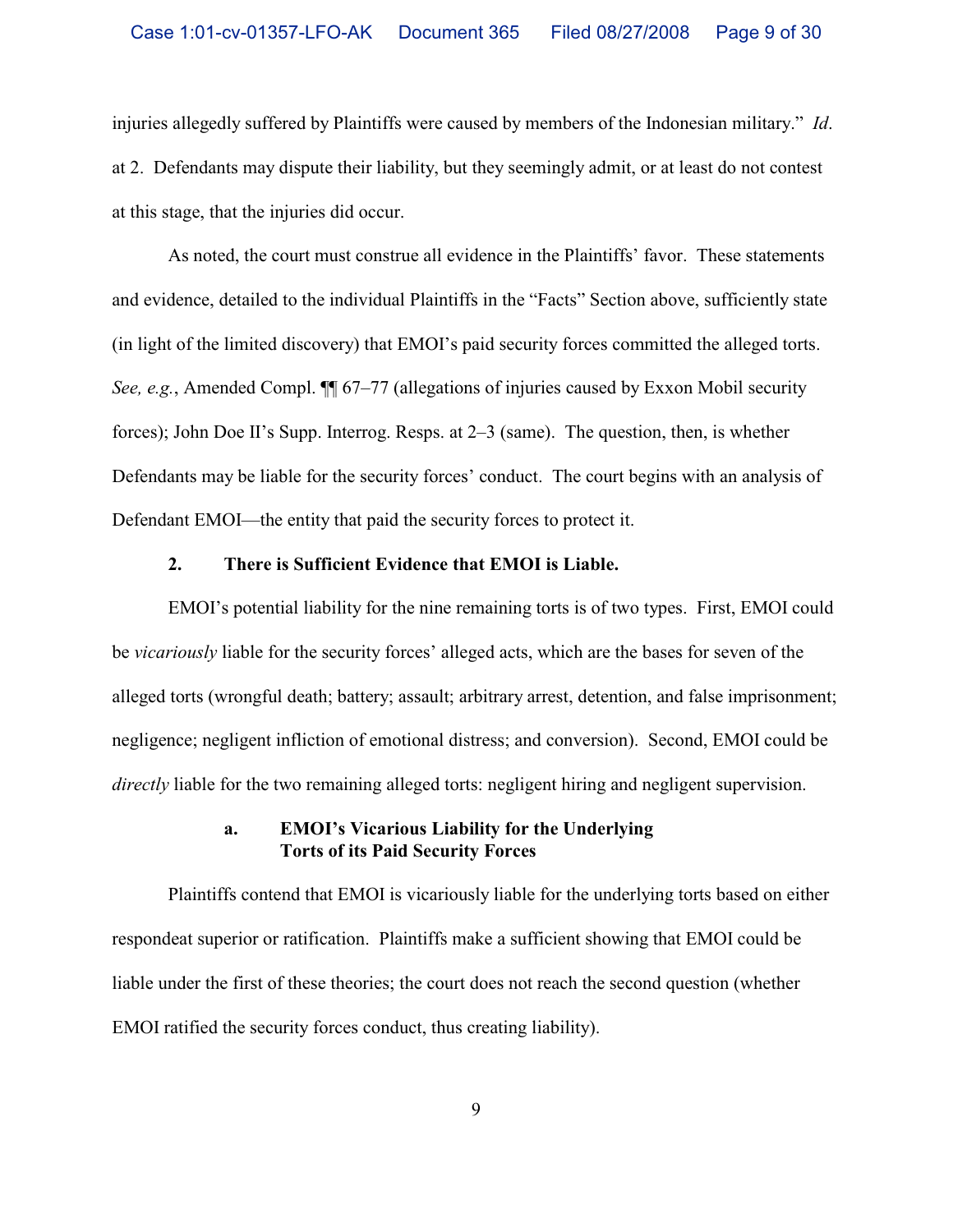injuries allegedly suffered by Plaintiffs were caused by members of the Indonesian military." *Id*. at 2. Defendants may dispute their liability, but they seemingly admit, or at least do not contest at this stage, that the injuries did occur.

As noted, the court must construe all evidence in the Plaintiffs' favor. These statements and evidence, detailed to the individual Plaintiffs in the "Facts" Section above, sufficiently state (in light of the limited discovery) that EMOI's paid security forces committed the alleged torts. *See, e.g.*, Amended Compl.  $\P$  67–77 (allegations of injuries caused by Exxon Mobil security forces); John Doe II's Supp. Interrog. Resps. at 2–3 (same). The question, then, is whether Defendants may be liable for the security forces' conduct. The court begins with an analysis of Defendant EMOI—the entity that paid the security forces to protect it.

## **2. There is Sufficient Evidence that EMOI is Liable.**

EMOI's potential liability for the nine remaining torts is of two types. First, EMOI could be *vicariously* liable for the security forces' alleged acts, which are the bases for seven of the alleged torts (wrongful death; battery; assault; arbitrary arrest, detention, and false imprisonment; negligence; negligent infliction of emotional distress; and conversion). Second, EMOI could be *directly* liable for the two remaining alleged torts: negligent hiring and negligent supervision.

### **a. EMOI's Vicarious Liability for the Underlying Torts of its Paid Security Forces**

Plaintiffs contend that EMOI is vicariously liable for the underlying torts based on either respondeat superior or ratification.Plaintiffs make a sufficient showing that EMOI could be liable under the first of these theories; the court does not reach the second question (whether EMOI ratified the security forces conduct, thus creating liability).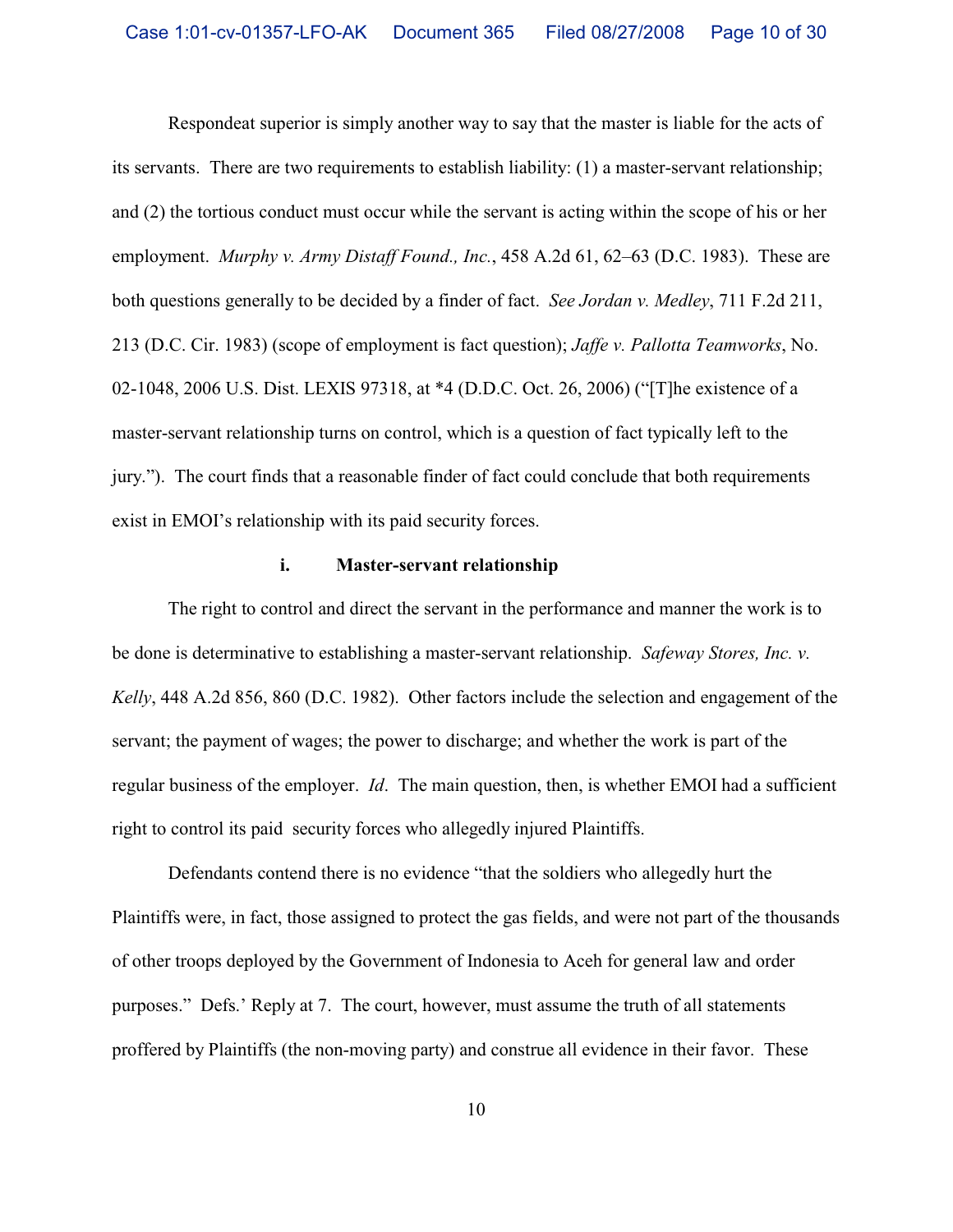Respondeat superior is simply another way to say that the master is liable for the acts of its servants. There are two requirements to establish liability: (1) a master-servant relationship; and (2) the tortious conduct must occur while the servant is acting within the scope of his or her employment.*Murphy v. Army Distaff Found., Inc.*, 458 A.2d 61, 62–63 (D.C. 1983).These are both questions generally to be decided by a finder of fact. *See Jordan v. Medley*, 711 F.2d 211, 213 (D.C. Cir. 1983) (scope of employment is fact question); *Jaffe v. Pallotta Teamworks*, No. 02-1048, 2006 U.S. Dist. LEXIS 97318, at \*4 (D.D.C. Oct. 26, 2006) ("[T]he existence of a master-servant relationship turns on control, which is a question of fact typically left to the jury."). The court finds that a reasonable finder of fact could conclude that both requirements exist in EMOI's relationship with its paid security forces.

## **i. Master-servant relationship**

The right to control and direct the servant in the performance and manner the work is to be done is determinative to establishing a master-servant relationship. *Safeway Stores, Inc. v. Kelly*, 448 A.2d 856, 860 (D.C. 1982). Other factors include the selection and engagement of the servant; the payment of wages; the power to discharge; and whether the work is part of the regular business of the employer. *Id*. The main question, then, is whether EMOI had a sufficient right to control its paid security forces who allegedly injured Plaintiffs.

Defendants contend there is no evidence "that the soldiers who allegedly hurt the Plaintiffs were, in fact, those assigned to protect the gas fields, and were not part of the thousands of other troops deployed by the Government of Indonesia to Aceh for general law and order purposes." Defs.' Reply at 7. The court, however, must assume the truth of all statements proffered by Plaintiffs (the non-moving party) and construe all evidence in their favor. These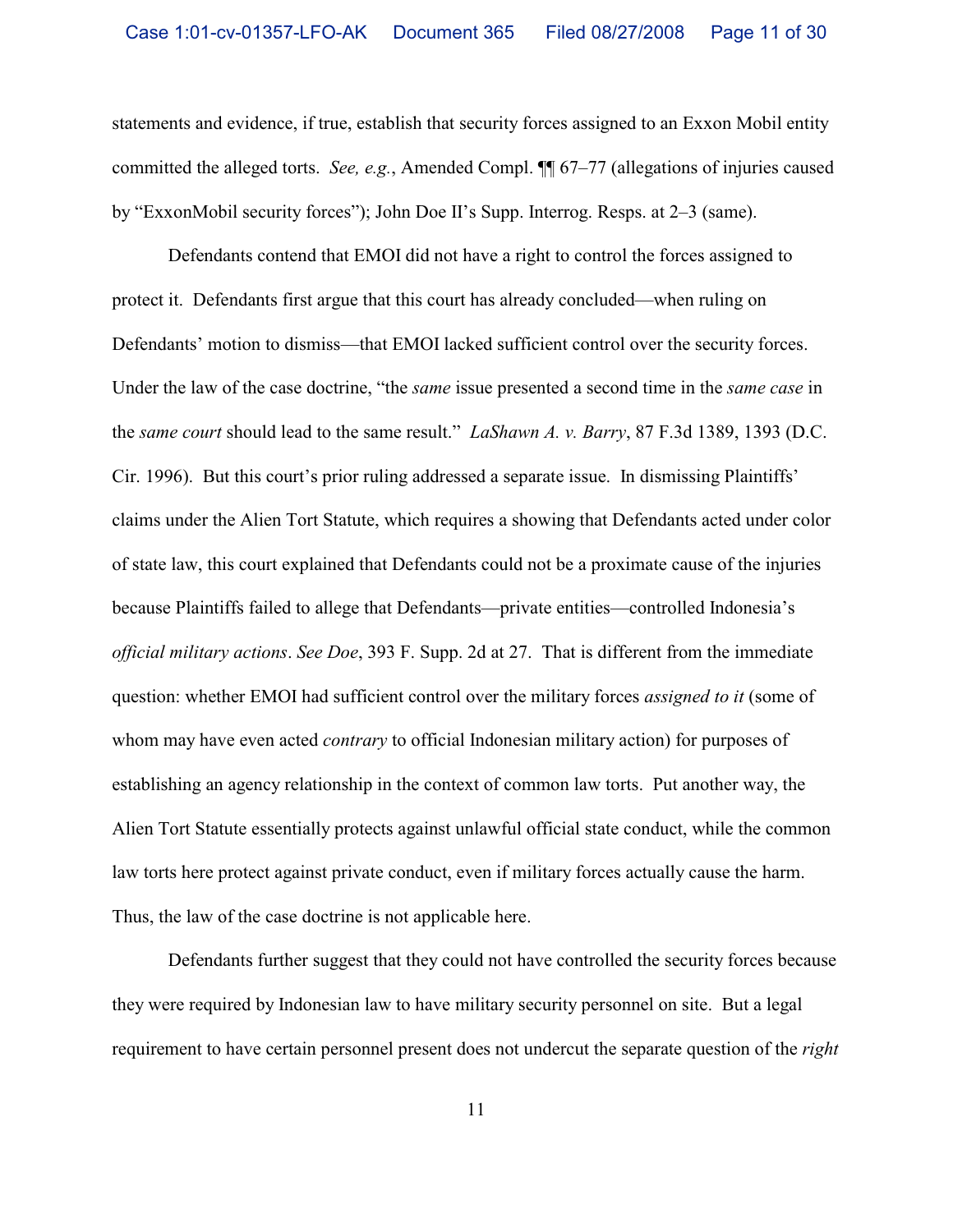statements and evidence, if true, establish that security forces assigned to an Exxon Mobil entity committed the alleged torts. *See, e.g.*, Amended Compl. ¶¶ 67–77 (allegations of injuries caused by "ExxonMobil security forces"); John Doe II's Supp. Interrog. Resps. at 2–3 (same).

Defendants contend that EMOI did not have a right to control the forces assigned to protect it. Defendants first argue that this court has already concluded—when ruling on Defendants' motion to dismiss—that EMOI lacked sufficient control over the security forces. Under the law of the case doctrine, "the *same* issue presented a second time in the *same case* in the *same court* should lead to the same result." *LaShawn A. v. Barry*, 87 F.3d 1389, 1393 (D.C. Cir. 1996). But this court's prior ruling addressed a separate issue. In dismissing Plaintiffs' claims under the Alien Tort Statute, which requires a showing that Defendants acted under color of state law, this court explained that Defendants could not be a proximate cause of the injuries because Plaintiffs failed to allege that Defendants—private entities—controlled Indonesia's *official military actions*. *See Doe*, 393 F. Supp. 2d at 27. That is different from the immediate question: whether EMOI had sufficient control over the military forces *assigned to it* (some of whom may have even acted *contrary* to official Indonesian military action) for purposes of establishing an agency relationship in the context of common law torts. Put another way, the Alien Tort Statute essentially protects against unlawful official state conduct, while the common law torts here protect against private conduct, even if military forces actually cause the harm. Thus, the law of the case doctrine is not applicable here.

Defendants further suggest that they could not have controlled the security forces because they were required by Indonesian law to have military security personnel on site. But a legal requirement to have certain personnel present does not undercut the separate question of the *right*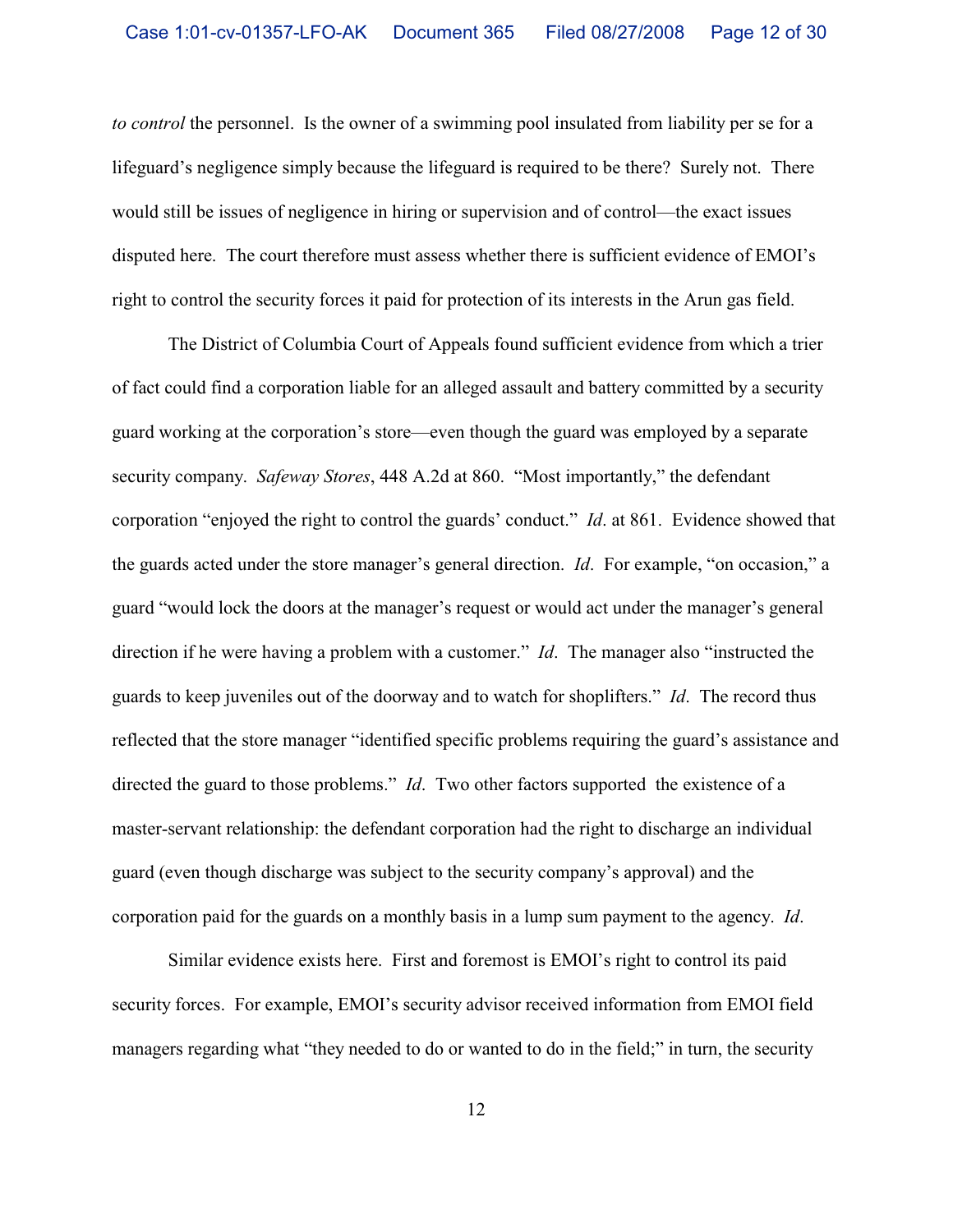*to control* the personnel. Is the owner of a swimming pool insulated from liability per se for a lifeguard's negligence simply because the lifeguard is required to be there? Surely not. There would still be issues of negligence in hiring or supervision and of control—the exact issues disputed here. The court therefore must assess whether there is sufficient evidence of EMOI's right to control the security forces it paid for protection of its interests in the Arun gas field.

The District of Columbia Court of Appeals found sufficient evidence from which a trier of fact could find a corporation liable for an alleged assault and battery committed by a security guard working at the corporation's store—even though the guard was employed by a separate security company. *Safeway Stores*, 448 A.2d at 860. "Most importantly," the defendant corporation "enjoyed the right to control the guards' conduct." *Id*. at 861. Evidence showed that the guards acted under the store manager's general direction. *Id*. For example, "on occasion," a guard "would lock the doors at the manager's request or would act under the manager's general direction if he were having a problem with a customer." *Id*. The manager also "instructed the guards to keep juveniles out of the doorway and to watch for shoplifters." *Id*. The record thus reflected that the store manager "identified specific problems requiring the guard's assistance and directed the guard to those problems." *Id*. Two other factors supported the existence of a master-servant relationship: the defendant corporation had the right to discharge an individual guard (even though discharge was subject to the security company's approval) and the corporation paid for the guards on a monthly basis in a lump sum payment to the agency. *Id*.

Similar evidence exists here. First and foremost is EMOI's right to control its paid security forces. For example, EMOI's security advisor received information from EMOI field managers regarding what "they needed to do or wanted to do in the field;" in turn, the security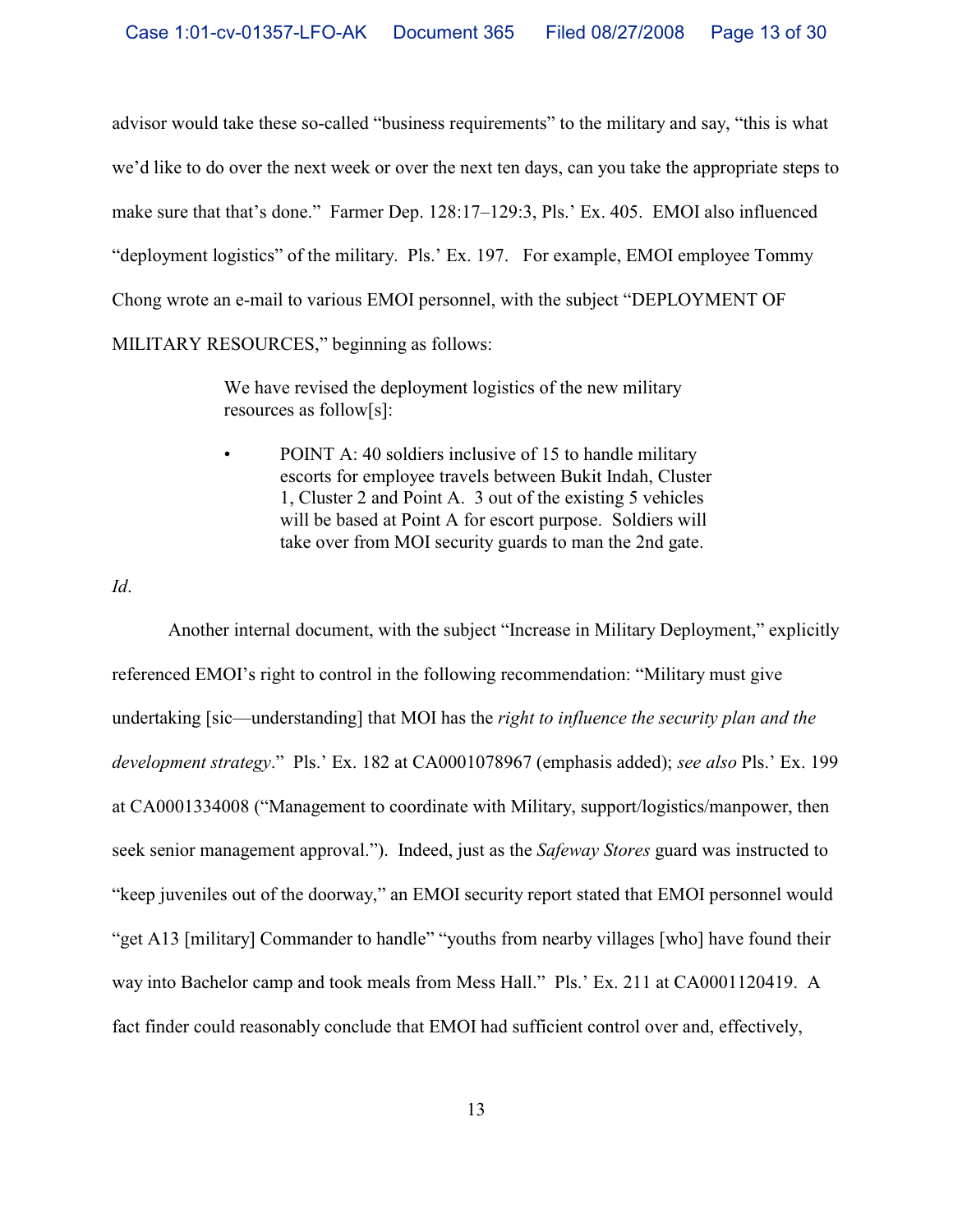advisor would take these so-called "business requirements" to the military and say, "this is what we'd like to do over the next week or over the next ten days, can you take the appropriate steps to make sure that that's done." Farmer Dep. 128:17–129:3, Pls.' Ex. 405. EMOI also influenced "deployment logistics" of the military. Pls.' Ex. 197. For example, EMOI employee Tommy Chong wrote an e-mail to various EMOI personnel, with the subject "DEPLOYMENT OF MILITARY RESOURCES," beginning as follows:

> We have revised the deployment logistics of the new military resources as follow[s]:

POINT A: 40 soldiers inclusive of 15 to handle military escorts for employee travels between Bukit Indah, Cluster 1, Cluster 2 and Point A. 3 out of the existing 5 vehicles will be based at Point A for escort purpose. Soldiers will take over from MOI security guards to man the 2nd gate.

*Id*.

Another internal document, with the subject "Increase in Military Deployment," explicitly referenced EMOI's right to control in the following recommendation: "Military must give undertaking [sic—understanding] that MOI has the *right to influence the security plan and the development strategy*." Pls.' Ex. 182 at CA0001078967 (emphasis added); *see also* Pls.' Ex. 199 at CA0001334008 ("Management to coordinate with Military, support/logistics/manpower, then seek senior management approval."). Indeed, just as the *Safeway Stores* guard was instructed to "keep juveniles out of the doorway," an EMOI security report stated that EMOI personnel would "get A13 [military] Commander to handle" "youths from nearby villages [who] have found their way into Bachelor camp and took meals from Mess Hall." Pls.' Ex. 211 at CA0001120419. A fact finder could reasonably conclude that EMOI had sufficient control over and, effectively,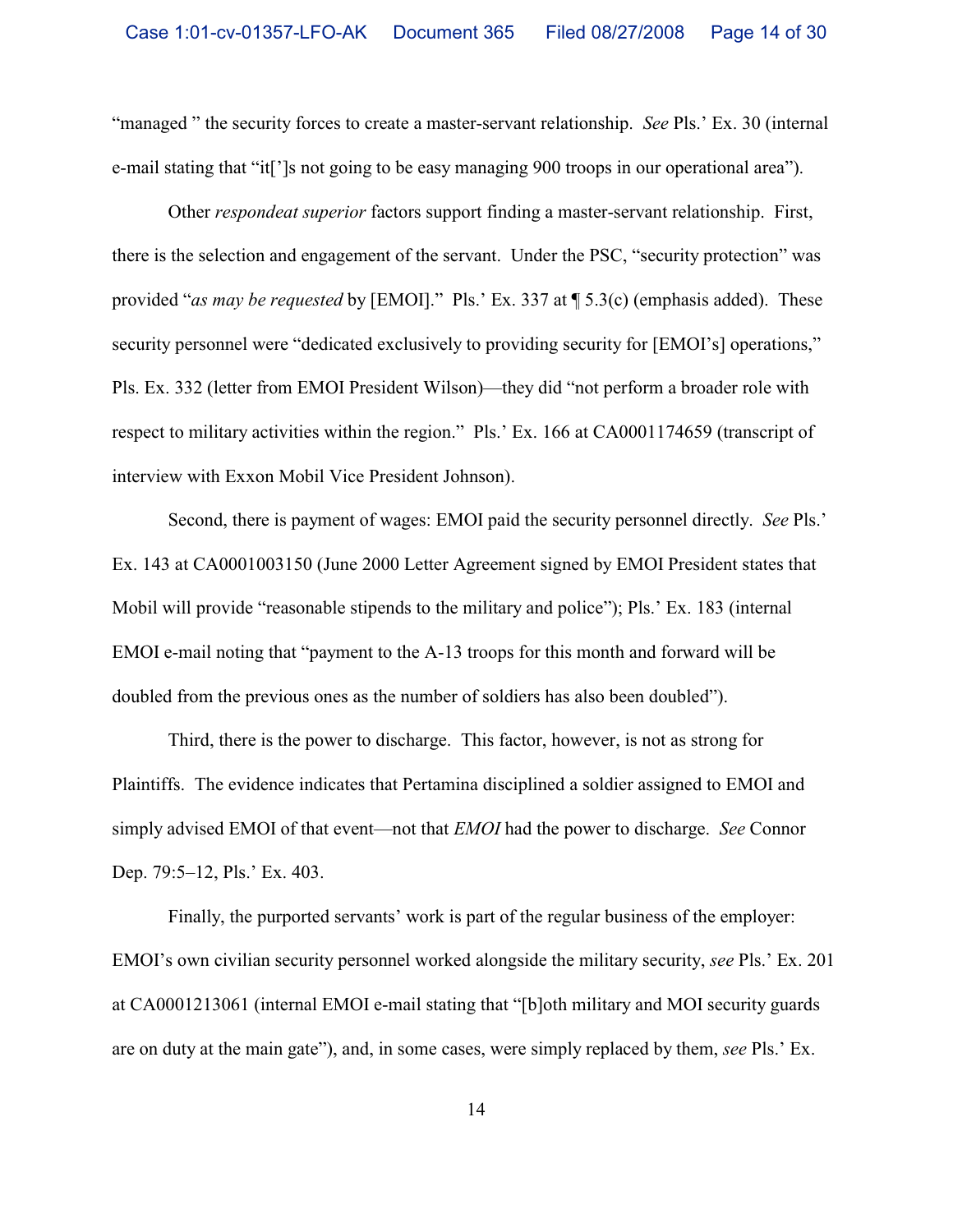"managed " the security forces to create a master-servant relationship. *See* Pls.' Ex. 30 (internal e-mail stating that "it[']s not going to be easy managing 900 troops in our operational area").

Other *respondeat superior* factors support finding a master-servant relationship. First, there is the selection and engagement of the servant. Under the PSC, "security protection" was provided "*as may be requested* by [EMOI]." Pls.' Ex. 337 at ¶ 5.3(c) (emphasis added). These security personnel were "dedicated exclusively to providing security for [EMOI's] operations," Pls. Ex. 332 (letter from EMOI President Wilson)—they did "not perform a broader role with respect to military activities within the region." Pls.' Ex. 166 at CA0001174659 (transcript of interview with Exxon Mobil Vice President Johnson).

Second, there is payment of wages: EMOI paid the security personnel directly. *See* Pls.' Ex. 143 at CA0001003150 (June 2000 Letter Agreement signed by EMOI President states that Mobil will provide "reasonable stipends to the military and police"); Pls.' Ex. 183 (internal EMOI e-mail noting that "payment to the A-13 troops for this month and forward will be doubled from the previous ones as the number of soldiers has also been doubled").

Third, there is the power to discharge. This factor, however, is not as strong for Plaintiffs. The evidence indicates that Pertamina disciplined a soldier assigned to EMOI and simply advised EMOI of that event—not that *EMOI* had the power to discharge. *See* Connor Dep. 79:5–12, Pls.' Ex. 403.

Finally, the purported servants' work is part of the regular business of the employer: EMOI's own civilian security personnel worked alongside the military security, *see* Pls.' Ex. 201 at CA0001213061 (internal EMOI e-mail stating that "[b]oth military and MOI security guards are on duty at the main gate"), and, in some cases, were simply replaced by them, *see* Pls.' Ex.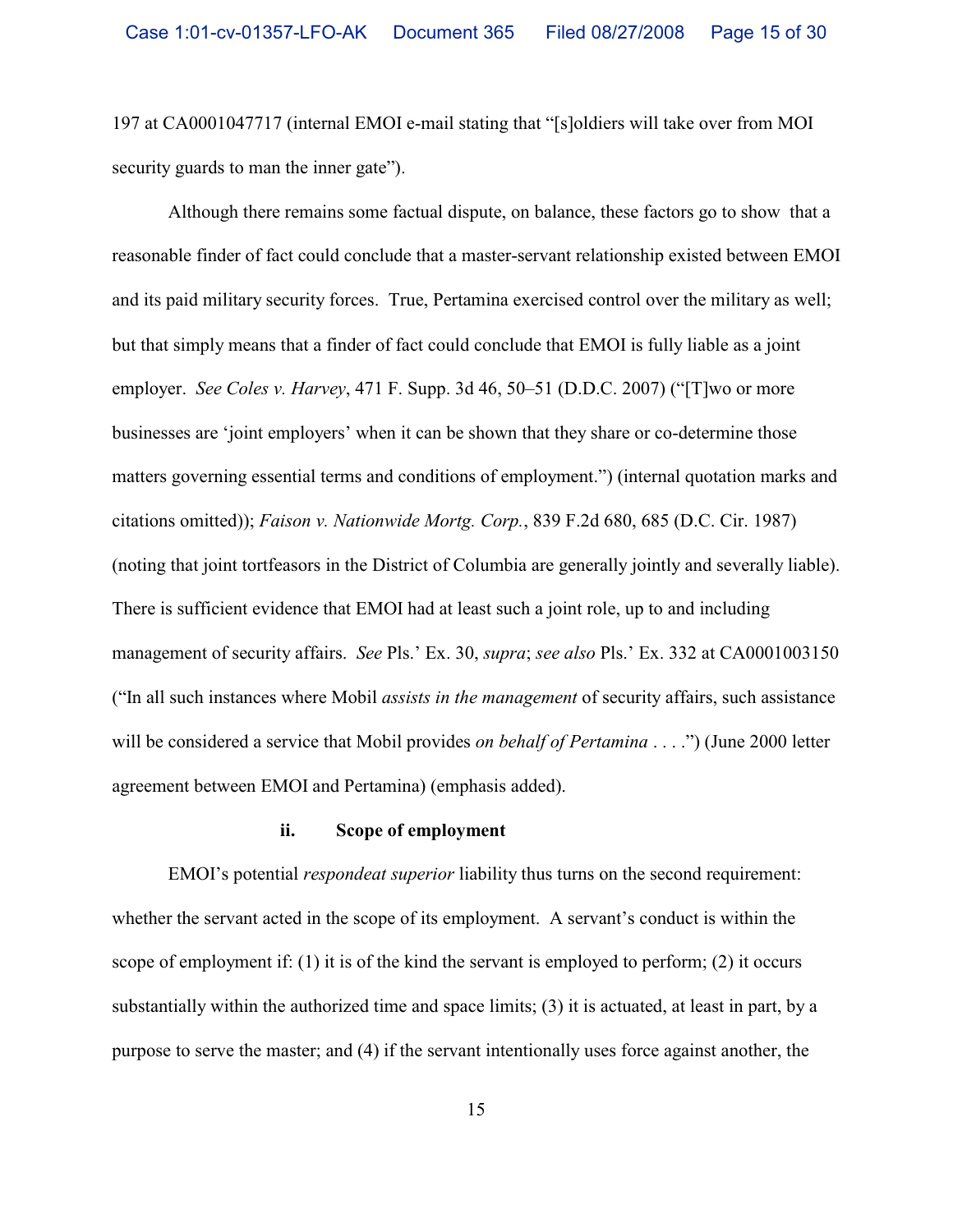197 at CA0001047717 (internal EMOI e-mail stating that "[s]oldiers will take over from MOI security guards to man the inner gate").

Although there remains some factual dispute, on balance, these factors go to show that a reasonable finder of fact could conclude that a master-servant relationship existed between EMOI and its paid military security forces.True, Pertamina exercised control over the military as well; but that simply means that a finder of fact could conclude that EMOI is fully liable as a joint employer. *See Coles v. Harvey*, 471 F. Supp. 3d 46, 50–51 (D.D.C. 2007) ("[T]wo or more businesses are 'joint employers' when it can be shown that they share or co-determine those matters governing essential terms and conditions of employment.") (internal quotation marks and citations omitted)); *Faison v. Nationwide Mortg. Corp.*, 839 F.2d 680, 685 (D.C. Cir. 1987) (noting that joint tortfeasors in the District of Columbia are generally jointly and severally liable). There is sufficient evidence that EMOI had at least such a joint role, up to and including management of security affairs. *See* Pls.' Ex. 30, *supra*; *see also* Pls.' Ex. 332 at CA0001003150 ("In all such instances where Mobil *assists in the management* of security affairs, such assistance will be considered a service that Mobil provides *on behalf of Pertamina* . . . .") (June 2000 letter agreement between EMOI and Pertamina) (emphasis added).

## **ii. Scope of employment**

EMOI's potential *respondeat superior* liability thus turns on the second requirement: whether the servant acted in the scope of its employment. A servant's conduct is within the scope of employment if: (1) it is of the kind the servant is employed to perform; (2) it occurs substantially within the authorized time and space limits; (3) it is actuated, at least in part, by a purpose to serve the master; and (4) if the servant intentionally uses force against another, the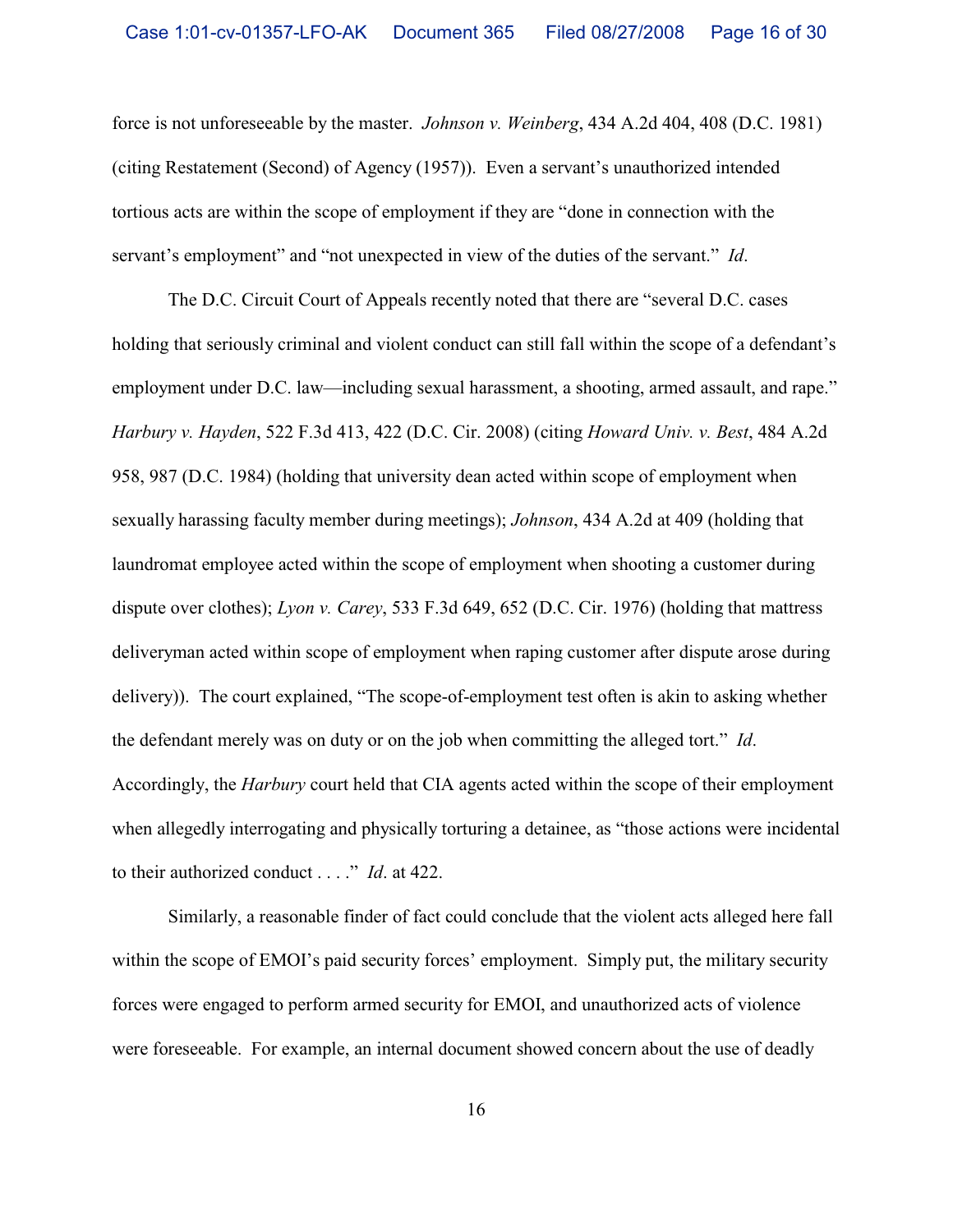force is not unforeseeable by the master. *Johnson v. Weinberg*, 434 A.2d 404, 408 (D.C. 1981) (citing Restatement (Second) of Agency (1957)). Even a servant's unauthorized intended tortious acts are within the scope of employment if they are "done in connection with the servant's employment" and "not unexpected in view of the duties of the servant." *Id*.

The D.C. Circuit Court of Appeals recently noted that there are "several D.C. cases holding that seriously criminal and violent conduct can still fall within the scope of a defendant's employment under D.C. law—including sexual harassment, a shooting, armed assault, and rape." *Harbury v. Hayden*, 522 F.3d 413, 422 (D.C. Cir. 2008) (citing *Howard Univ. v. Best*, 484 A.2d 958, 987 (D.C. 1984) (holding that university dean acted within scope of employment when sexually harassing faculty member during meetings); *Johnson*, 434 A.2d at 409 (holding that laundromat employee acted within the scope of employment when shooting a customer during dispute over clothes); *Lyon v. Carey*, 533 F.3d 649, 652 (D.C. Cir. 1976) (holding that mattress deliveryman acted within scope of employment when raping customer after dispute arose during delivery)). The court explained, "The scope-of-employment test often is akin to asking whether the defendant merely was on duty or on the job when committing the alleged tort." *Id*. Accordingly, the *Harbury* court held that CIA agents acted within the scope of their employment when allegedly interrogating and physically torturing a detainee, as "those actions were incidental to their authorized conduct . . . ." *Id*. at 422.

Similarly, a reasonable finder of fact could conclude that the violent acts alleged here fall within the scope of EMOI's paid security forces' employment. Simply put, the military security forces were engaged to perform armed security for EMOI, and unauthorized acts of violence were foreseeable. For example, an internal document showed concern about the use of deadly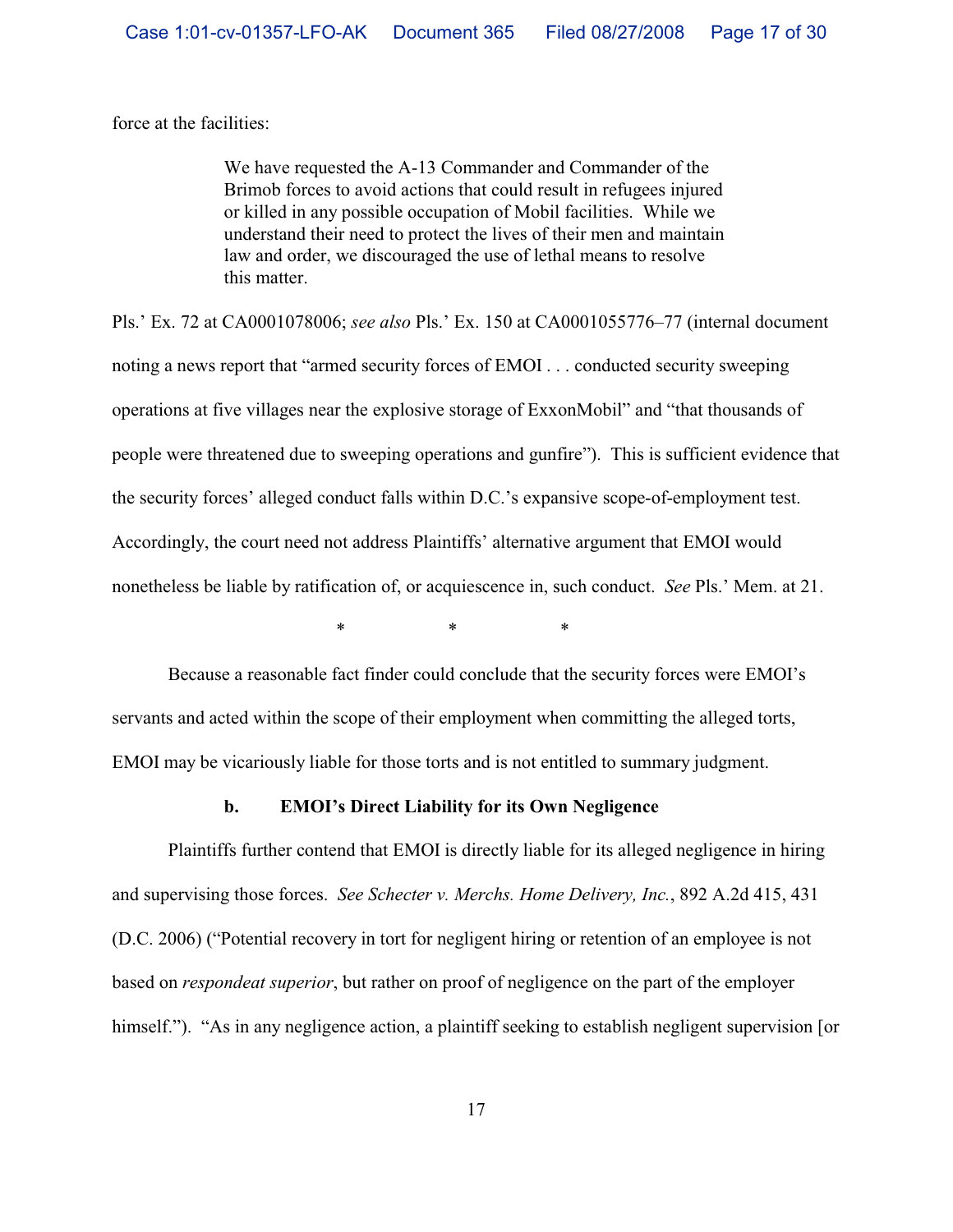force at the facilities:

We have requested the A-13 Commander and Commander of the Brimob forces to avoid actions that could result in refugees injured or killed in any possible occupation of Mobil facilities. While we understand their need to protect the lives of their men and maintain law and order, we discouraged the use of lethal means to resolve this matter.

Pls.' Ex. 72 at CA0001078006; *see also* Pls.' Ex. 150 at CA0001055776–77 (internal document noting a news report that "armed security forces of EMOI . . . conducted security sweeping operations at five villages near the explosive storage of ExxonMobil" and "that thousands of people were threatened due to sweeping operations and gunfire"). This is sufficient evidence that the security forces' alleged conduct falls within D.C.'s expansive scope-of-employment test. Accordingly, the court need not address Plaintiffs' alternative argument that EMOI would nonetheless be liable by ratification of, or acquiescence in, such conduct. *See* Pls.' Mem. at 21.

\*\*\*

Because a reasonable fact finder could conclude that the security forces were EMOI's servants and acted within the scope of their employment when committing the alleged torts, EMOI may be vicariously liable for those torts and is not entitled to summary judgment.

## **b. EMOI's Direct Liability for its Own Negligence**

Plaintiffs further contend that EMOI is directly liable for its alleged negligence in hiring and supervising those forces. *See Schecter v. Merchs. Home Delivery, Inc.*, 892 A.2d 415, 431 (D.C. 2006) ("Potential recovery in tort for negligent hiring or retention of an employee is not based on *respondeat superior*, but rather on proof of negligence on the part of the employer himself."). "As in any negligence action, a plaintiff seeking to establish negligent supervision [or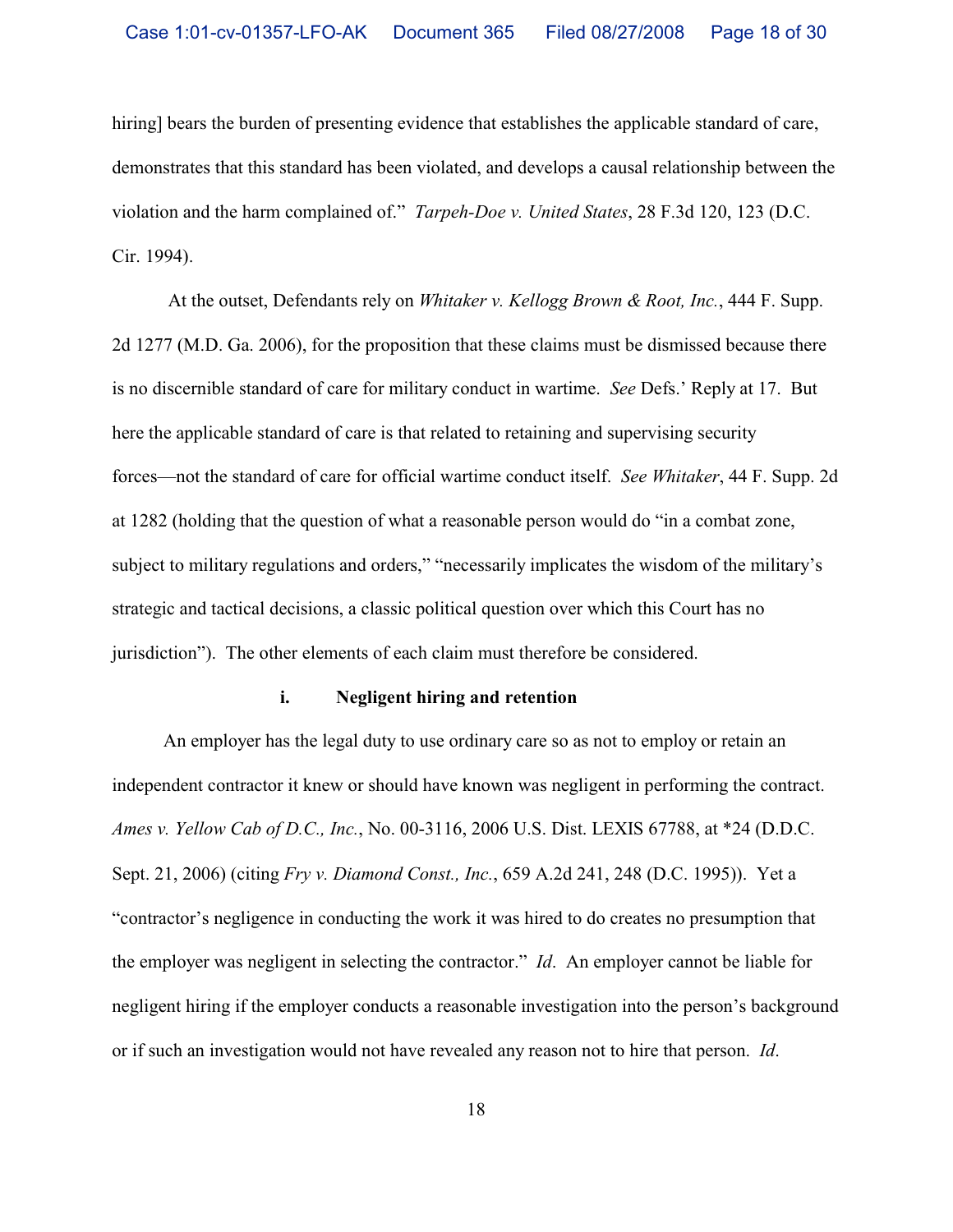hiring] bears the burden of presenting evidence that establishes the applicable standard of care, demonstrates that this standard has been violated, and develops a causal relationship between the violation and the harm complained of."*Tarpeh-Doe v. United States*, 28 F.3d 120, 123 (D.C. Cir. 1994).

At the outset, Defendants rely on *Whitaker v. Kellogg Brown & Root, Inc.*, 444 F. Supp. 2d 1277 (M.D. Ga. 2006), for the proposition that these claims must be dismissed because there is no discernible standard of care for military conduct in wartime. *See* Defs.' Reply at 17. But here the applicable standard of care is that related to retaining and supervising security forces—not the standard of care for official wartime conduct itself. *See Whitaker*, 44 F. Supp. 2d at 1282 (holding that the question of what a reasonable person would do "in a combat zone, subject to military regulations and orders," "necessarily implicates the wisdom of the military's strategic and tactical decisions, a classic political question over which this Court has no jurisdiction"). The other elements of each claim must therefore be considered.

### **i. Negligent hiring and retention**

An employer has the legal duty to use ordinary care so as not to employ or retain an independent contractor it knew or should have known was negligent in performing the contract. *Ames v. Yellow Cab of D.C., Inc.*, No. 00-3116, 2006 U.S. Dist. LEXIS 67788, at \*24 (D.D.C. Sept. 21, 2006) (citing *Fry v. Diamond Const., Inc.*, 659 A.2d 241, 248 (D.C. 1995)). Yet a "contractor's negligence in conducting the work it was hired to do creates no presumption that the employer was negligent in selecting the contractor." *Id*. An employer cannot be liable for negligent hiring if the employer conducts a reasonable investigation into the person's background or if such an investigation would not have revealed any reason not to hire that person. *Id*.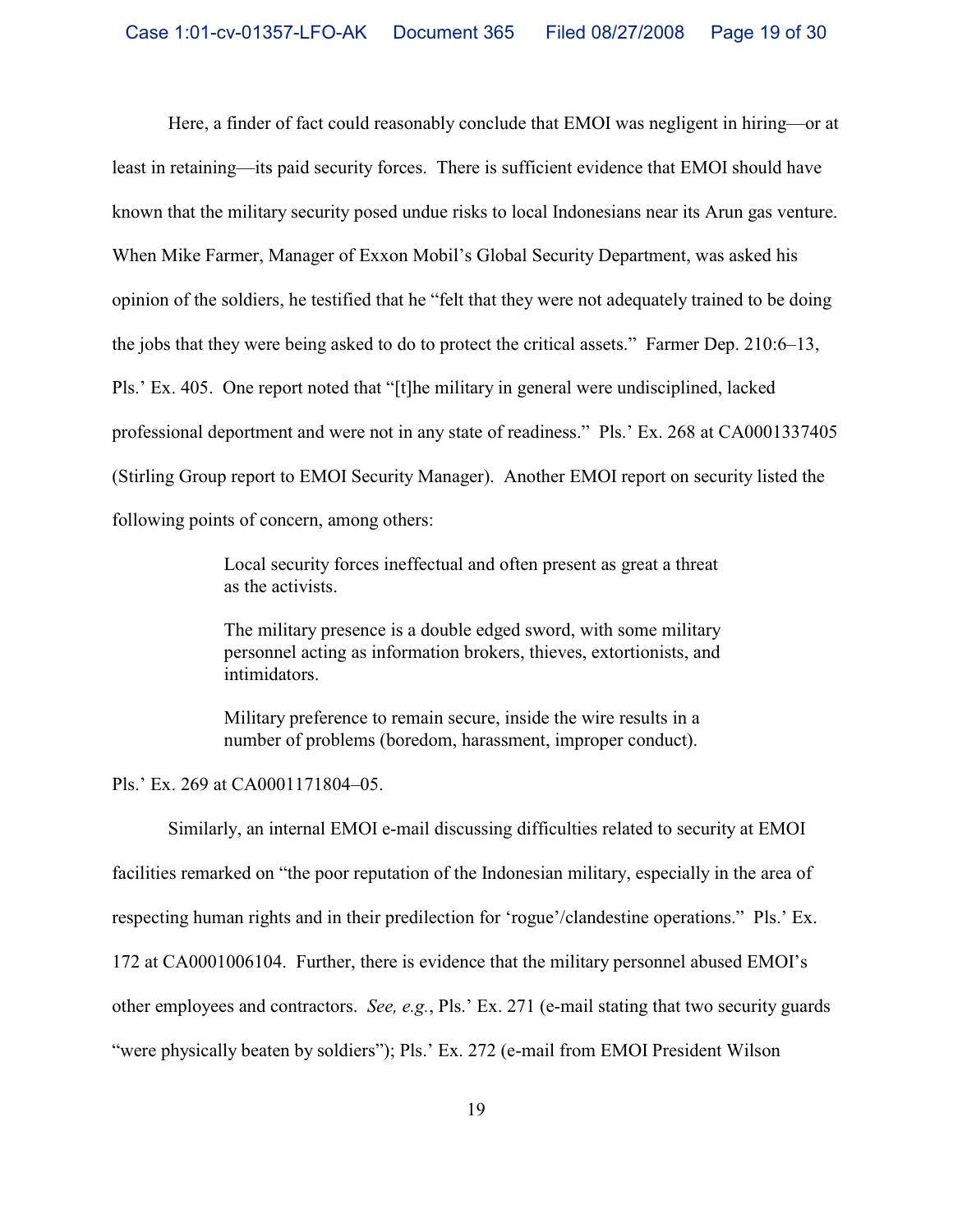Here, a finder of fact could reasonably conclude that EMOI was negligent in hiring—or at least in retaining—its paid security forces. There is sufficient evidence that EMOI should have known that the military security posed undue risks to local Indonesians near its Arun gas venture. When Mike Farmer, Manager of Exxon Mobil's Global Security Department, was asked his opinion of the soldiers, he testified that he "felt that they were not adequately trained to be doing the jobs that they were being asked to do to protect the critical assets." Farmer Dep. 210:6–13, Pls.' Ex. 405. One report noted that "[t]he military in general were undisciplined, lacked professional deportment and were not in any state of readiness." Pls.' Ex. 268 at CA0001337405 (Stirling Group report to EMOI Security Manager). Another EMOI report on security listed the following points of concern, among others:

> Local security forces ineffectual and often present as great a threat as the activists.

> The military presence is a double edged sword, with some military personnel acting as information brokers, thieves, extortionists, and intimidators.

Military preference to remain secure, inside the wire results in a number of problems (boredom, harassment, improper conduct).

Pls.' Ex. 269 at CA0001171804–05.

Similarly, an internal EMOI e-mail discussing difficulties related to security at EMOI facilities remarked on "the poor reputation of the Indonesian military, especially in the area of respecting human rights and in their predilection for 'rogue'/clandestine operations." Pls.' Ex. 172 at CA0001006104.Further, there is evidence that the military personnel abused EMOI's other employees and contractors. *See, e.g.*, Pls.' Ex. 271 (e-mail stating that two security guards "were physically beaten by soldiers"); Pls.' Ex. 272 (e-mail from EMOI President Wilson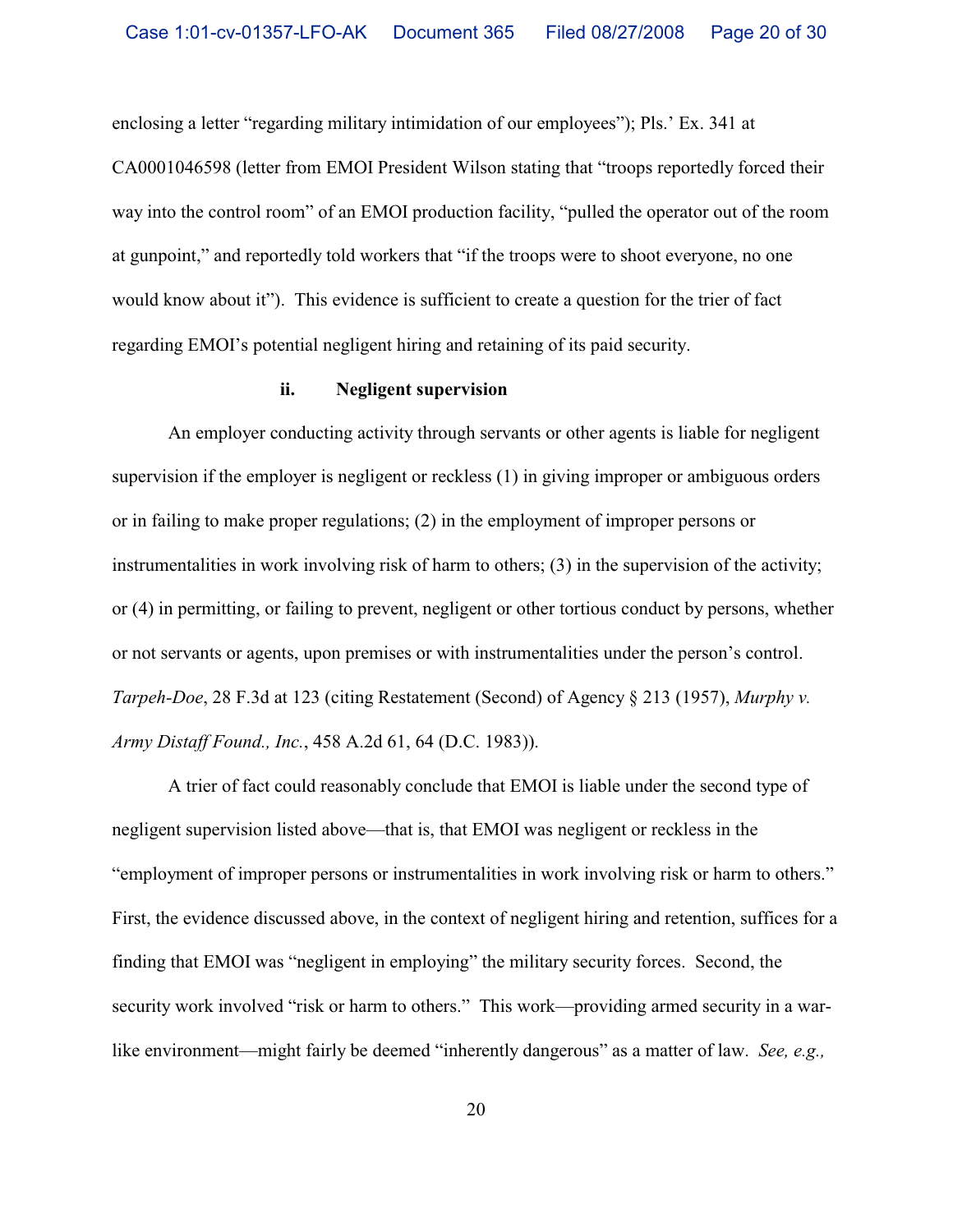enclosing a letter "regarding military intimidation of our employees"); Pls.' Ex. 341 at CA0001046598 (letter from EMOI President Wilson stating that "troops reportedly forced their way into the control room" of an EMOI production facility, "pulled the operator out of the room at gunpoint," and reportedly told workers that "if the troops were to shoot everyone, no one would know about it").This evidence is sufficient to create a question for the trier of fact regarding EMOI's potential negligent hiring and retaining of its paid security.

## **ii. Negligent supervision**

An employer conducting activity through servants or other agents is liable for negligent supervision if the employer is negligent or reckless (1) in giving improper or ambiguous orders or in failing to make proper regulations; (2) in the employment of improper persons or instrumentalities in work involving risk of harm to others; (3) in the supervision of the activity; or (4) in permitting, or failing to prevent, negligent or other tortious conduct by persons, whether or not servants or agents, upon premises or with instrumentalities under the person's control. *Tarpeh-Doe*, 28 F.3d at 123 (citing Restatement (Second) of Agency § 213 (1957), *Murphy v. Army Distaff Found., Inc.*, 458 A.2d 61, 64 (D.C. 1983)).

A trier of fact could reasonably conclude that EMOI is liable under the second type of negligent supervision listed above—that is, that EMOI was negligent or reckless in the "employment of improper persons or instrumentalities in work involving risk or harm to others." First, the evidence discussed above, in the context of negligent hiring and retention, suffices for a finding that EMOI was "negligent in employing" the military security forces. Second, the security work involved "risk or harm to others." This work—providing armed security in a warlike environment—might fairly be deemed "inherently dangerous" as a matter of law. *See, e.g.,*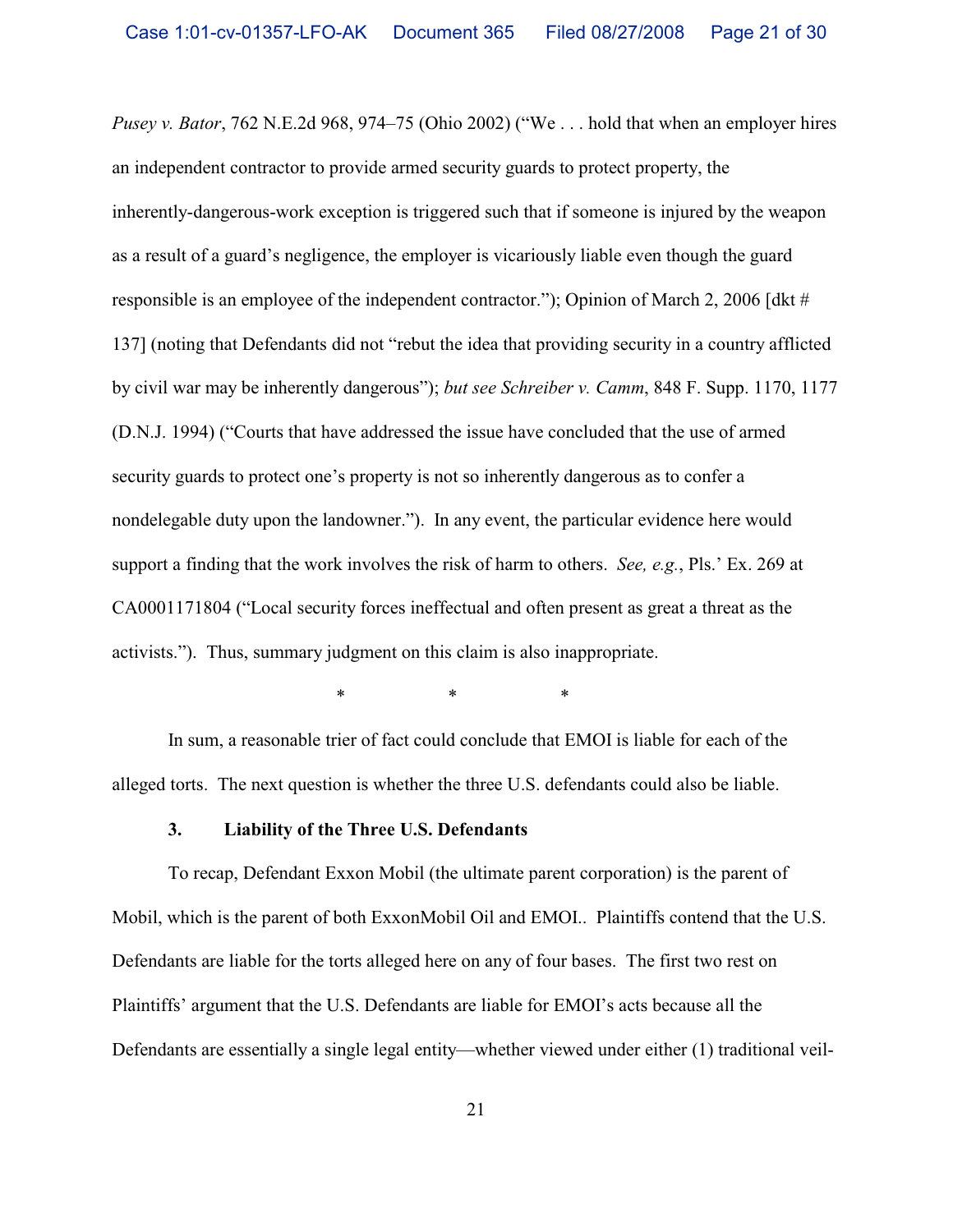*Pusey v. Bator*, 762 N.E.2d 968, 974–75 (Ohio 2002) ("We . . . hold that when an employer hires an independent contractor to provide armed security guards to protect property, the inherently-dangerous-work exception is triggered such that if someone is injured by the weapon as a result of a guard's negligence, the employer is vicariously liable even though the guard responsible is an employee of the independent contractor."); Opinion of March 2, 2006 [dkt # 137] (noting that Defendants did not "rebut the idea that providing security in a country afflicted by civil war may be inherently dangerous"); *but see Schreiber v. Camm*, 848 F. Supp. 1170, 1177 (D.N.J. 1994) ("Courts that have addressed the issue have concluded that the use of armed security guards to protect one's property is not so inherently dangerous as to confer a nondelegable duty upon the landowner."). In any event, the particular evidence here would support a finding that the work involves the risk of harm to others. *See, e.g.*, Pls.' Ex. 269 at CA0001171804 ("Local security forces ineffectual and often present as great a threat as the activists."). Thus, summary judgment on this claim is also inappropriate.

\*\*\*

In sum, a reasonable trier of fact could conclude that EMOI is liable for each of the alleged torts.The next question is whether the three U.S. defendants could also be liable.

### **3. Liability of the Three U.S. Defendants**

To recap, Defendant Exxon Mobil (the ultimate parent corporation) is the parent of Mobil, which is the parent of both ExxonMobil Oil and EMOI.. Plaintiffs contend that the U.S. Defendants are liable for the torts alleged here on any of four bases. The first two rest on Plaintiffs' argument that the U.S. Defendants are liable for EMOI's acts because all the Defendants are essentially a single legal entity—whether viewed under either (1) traditional veil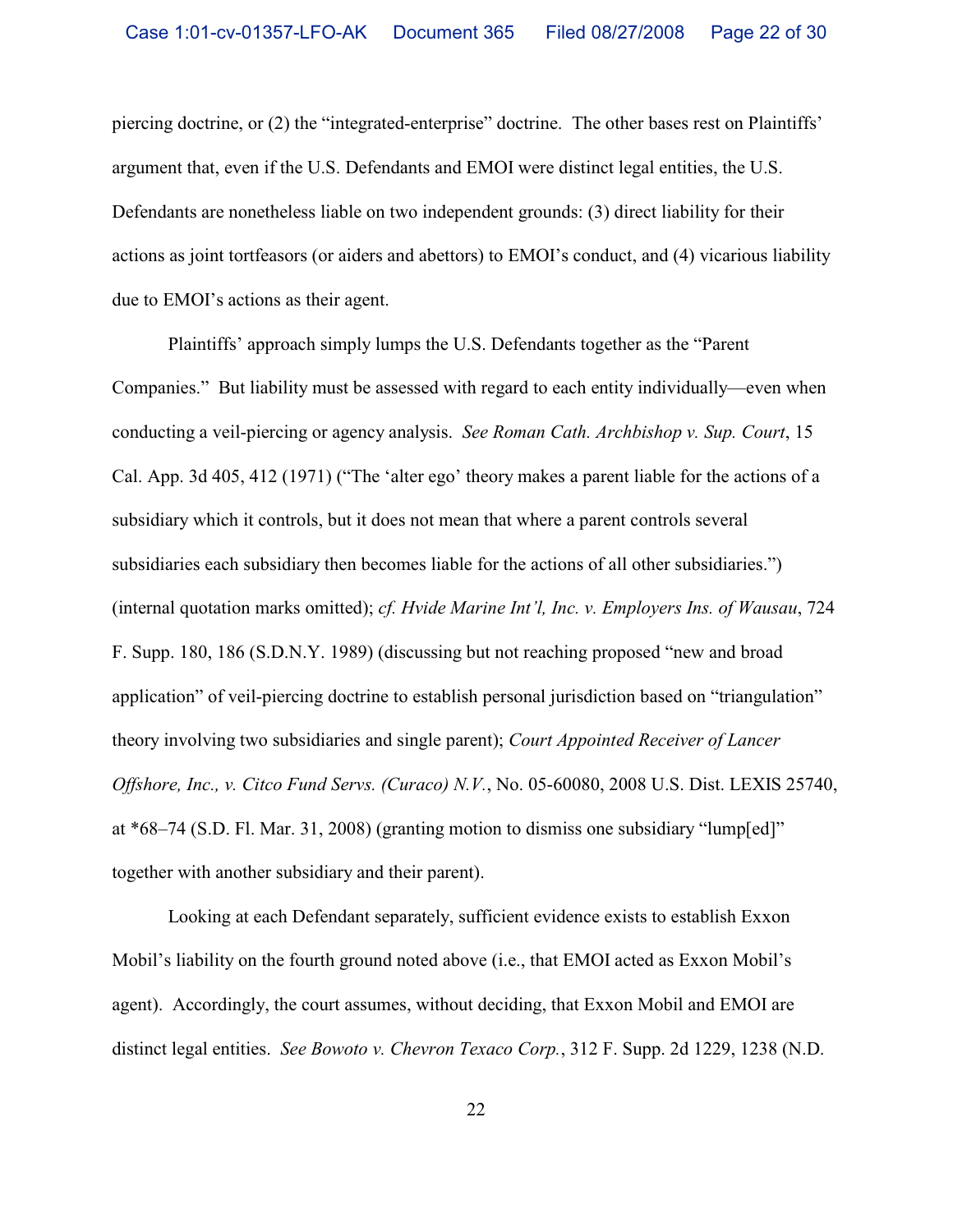piercing doctrine, or (2) the "integrated-enterprise" doctrine. The other bases rest on Plaintiffs' argument that, even if the U.S. Defendants and EMOI were distinct legal entities, the U.S. Defendants are nonetheless liable on two independent grounds: (3) direct liability for their actions as joint tortfeasors (or aiders and abettors) to EMOI's conduct, and (4) vicarious liability due to EMOI's actions as their agent.

Plaintiffs' approach simply lumps the U.S. Defendants together as the "Parent Companies." But liability must be assessed with regard to each entity individually—even when conducting a veil-piercing or agency analysis. *See Roman Cath. Archbishop v. Sup. Court*, 15 Cal. App. 3d 405, 412 (1971) ("The 'alter ego' theory makes a parent liable for the actions of a subsidiary which it controls, but it does not mean that where a parent controls several subsidiaries each subsidiary then becomes liable for the actions of all other subsidiaries.") (internal quotation marks omitted); *cf. Hvide Marine Int'l, Inc. v. Employers Ins. of Wausau*, 724 F. Supp. 180, 186 (S.D.N.Y. 1989) (discussing but not reaching proposed "new and broad application" of veil-piercing doctrine to establish personal jurisdiction based on "triangulation" theory involving two subsidiaries and single parent); *Court Appointed Receiver of Lancer Offshore, Inc., v. Citco Fund Servs. (Curaco) N.V.*, No. 05-60080, 2008 U.S. Dist. LEXIS 25740, at \*68–74 (S.D. Fl. Mar. 31, 2008) (granting motion to dismiss one subsidiary "lump[ed]" together with another subsidiary and their parent).

Looking at each Defendant separately, sufficient evidence exists to establish Exxon Mobil's liability on the fourth ground noted above (i.e., that EMOI acted as Exxon Mobil's agent). Accordingly, the court assumes, without deciding, that Exxon Mobil and EMOI are distinct legal entities. *See Bowoto v. Chevron Texaco Corp.*, 312 F. Supp. 2d 1229, 1238 (N.D.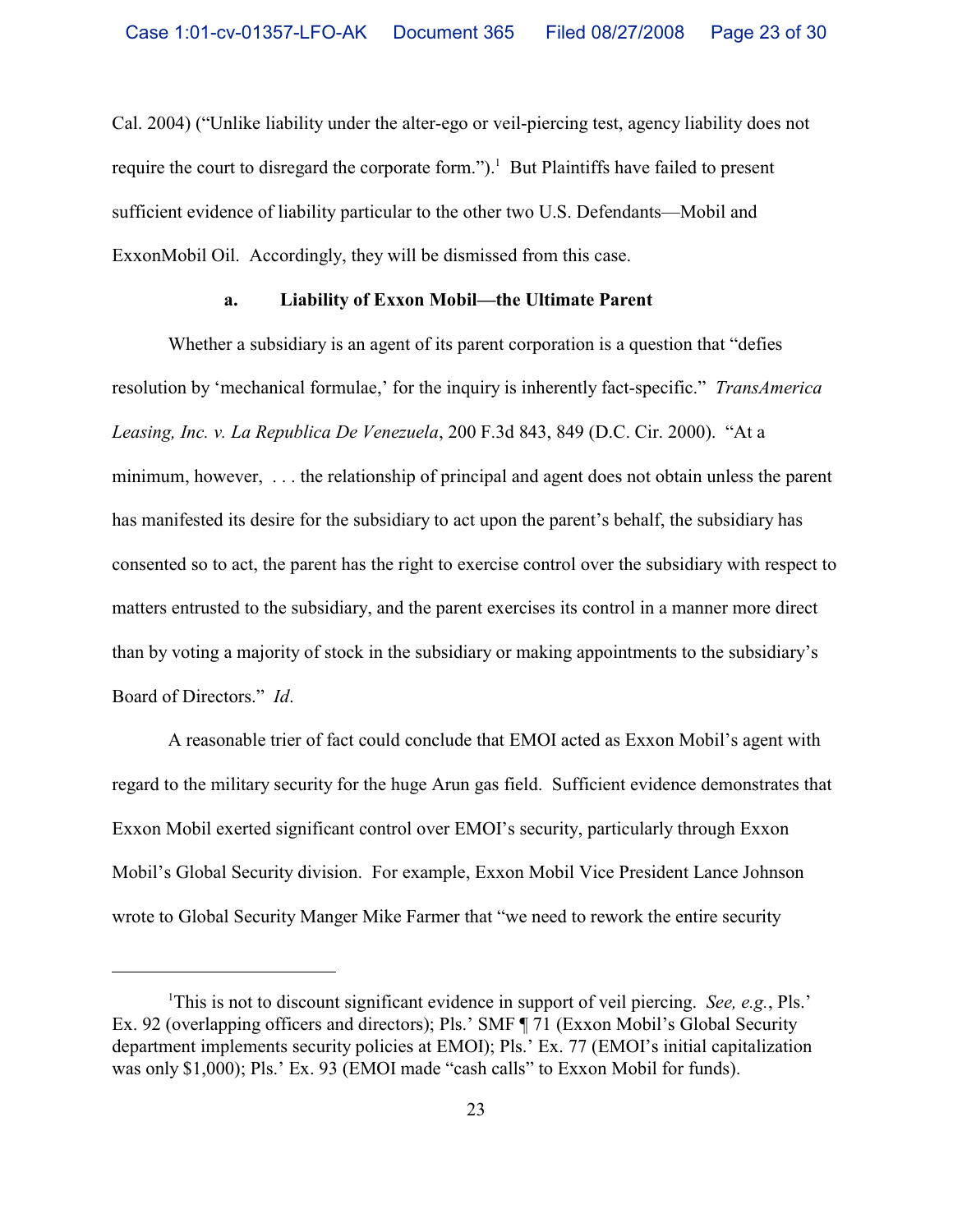Cal. 2004) ("Unlike liability under the alter-ego or veil-piercing test, agency liability does not require the court to disregard the corporate form.").<sup>1</sup> But Plaintiffs have failed to present sufficient evidence of liability particular to the other two U.S. Defendants—Mobil and ExxonMobil Oil. Accordingly, they will be dismissed from this case.

### **a. Liability of Exxon Mobil—the Ultimate Parent**

Whether a subsidiary is an agent of its parent corporation is a question that "defies resolution by 'mechanical formulae,' for the inquiry is inherently fact-specific." *TransAmerica Leasing, Inc. v. La Republica De Venezuela*, 200 F.3d 843, 849 (D.C. Cir. 2000). "At a minimum, however, . . . the relationship of principal and agent does not obtain unless the parent has manifested its desire for the subsidiary to act upon the parent's behalf, the subsidiary has consented so to act, the parent has the right to exercise control over the subsidiary with respect to matters entrusted to the subsidiary, and the parent exercises its control in a manner more direct than by voting a majority of stock in the subsidiary or making appointments to the subsidiary's Board of Directors." *Id*.

A reasonable trier of fact could conclude that EMOI acted as Exxon Mobil's agent with regard to the military security for the huge Arun gas field. Sufficient evidence demonstrates that Exxon Mobil exerted significant control over EMOI's security, particularly through Exxon Mobil's Global Security division. For example, Exxon Mobil Vice President Lance Johnson wrote to Global Security Manger Mike Farmer that "we need to rework the entire security

<sup>&</sup>lt;sup>1</sup>This is not to discount significant evidence in support of veil piercing. *See, e.g.*, Pls.' Ex. 92 (overlapping officers and directors); Pls.' SMF ¶ 71 (Exxon Mobil's Global Security department implements security policies at EMOI); Pls.' Ex. 77 (EMOI's initial capitalization was only \$1,000); Pls.' Ex. 93 (EMOI made "cash calls" to Exxon Mobil for funds).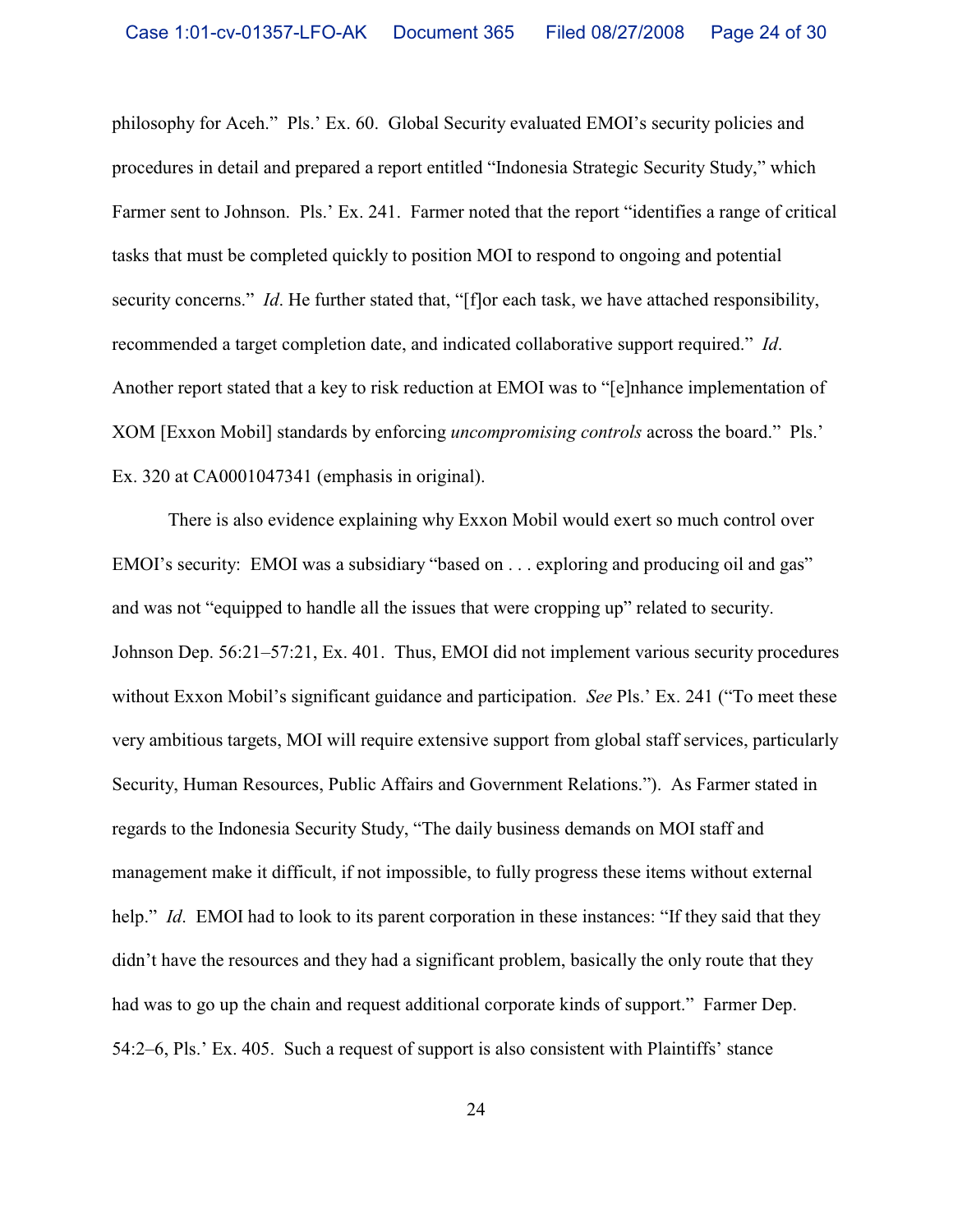philosophy for Aceh." Pls.' Ex. 60. Global Security evaluated EMOI's security policies and procedures in detail and prepared a report entitled "Indonesia Strategic Security Study," which Farmer sent to Johnson. Pls.' Ex. 241. Farmer noted that the report "identifies a range of critical tasks that must be completed quickly to position MOI to respond to ongoing and potential security concerns." *Id*. He further stated that, "[f]or each task, we have attached responsibility, recommended a target completion date, and indicated collaborative support required." *Id*. Another report stated that a key to risk reduction at EMOI was to "[e]nhance implementation of XOM [Exxon Mobil] standards by enforcing *uncompromising controls* across the board." Pls.' Ex. 320 at CA0001047341 (emphasis in original).

There is also evidence explaining why Exxon Mobil would exert so much control over EMOI's security: EMOI was a subsidiary "based on . . . exploring and producing oil and gas" and was not "equipped to handle all the issues that were cropping up" related to security. Johnson Dep. 56:21–57:21, Ex. 401. Thus, EMOI did not implement various security procedures without Exxon Mobil's significant guidance and participation. *See* Pls.' Ex. 241 ("To meet these very ambitious targets, MOI will require extensive support from global staff services, particularly Security, Human Resources, Public Affairs and Government Relations."). As Farmer stated in regards to the Indonesia Security Study, "The daily business demands on MOI staff and management make it difficult, if not impossible, to fully progress these items without external help." *Id.* EMOI had to look to its parent corporation in these instances: "If they said that they didn't have the resources and they had a significant problem, basically the only route that they had was to go up the chain and request additional corporate kinds of support." Farmer Dep. 54:2–6, Pls.' Ex. 405. Such a request of support is also consistent with Plaintiffs' stance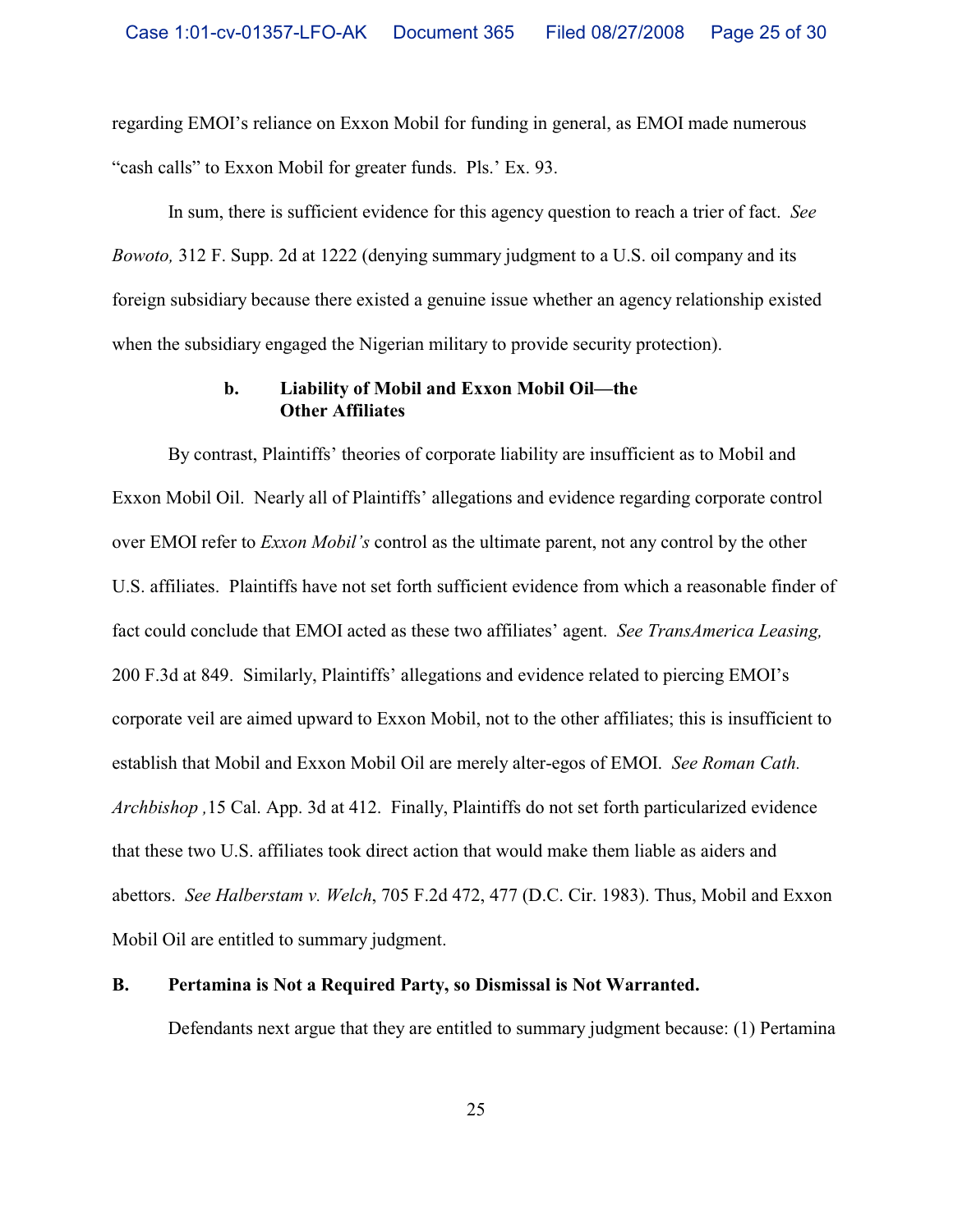regarding EMOI's reliance on Exxon Mobil for funding in general, as EMOI made numerous "cash calls" to Exxon Mobil for greater funds. Pls.' Ex. 93.

In sum, there is sufficient evidence for this agency question to reach a trier of fact. *See Bowoto,* 312 F. Supp. 2d at 1222 (denying summary judgment to a U.S. oil company and its foreign subsidiary because there existed a genuine issue whether an agency relationship existed when the subsidiary engaged the Nigerian military to provide security protection).

## **b. Liability of Mobil and Exxon Mobil Oil—the Other Affiliates**

By contrast, Plaintiffs' theories of corporate liability are insufficient as to Mobil and Exxon Mobil Oil. Nearly all of Plaintiffs' allegations and evidence regarding corporate control over EMOI refer to *Exxon Mobil's* control as the ultimate parent, not any control by the other U.S. affiliates.Plaintiffs have not set forth sufficient evidence from which a reasonable finder of fact could conclude that EMOI acted as these two affiliates' agent. *See TransAmerica Leasing,* 200 F.3d at 849. Similarly, Plaintiffs' allegations and evidence related to piercing EMOI's corporate veil are aimed upward to Exxon Mobil, not to the other affiliates; this is insufficient to establish that Mobil and Exxon Mobil Oil are merely alter-egos of EMOI. *See Roman Cath. Archbishop ,*15 Cal. App. 3d at 412. Finally, Plaintiffs do not set forth particularized evidence that these two U.S. affiliates took direct action that would make them liable as aiders and abettors. *See Halberstam v. Welch*, 705 F.2d 472, 477 (D.C. Cir. 1983). Thus, Mobil and Exxon Mobil Oil are entitled to summary judgment.

## **B. Pertamina is Not a Required Party, so Dismissal is Not Warranted.**

Defendants next argue that they are entitled to summary judgment because: (1) Pertamina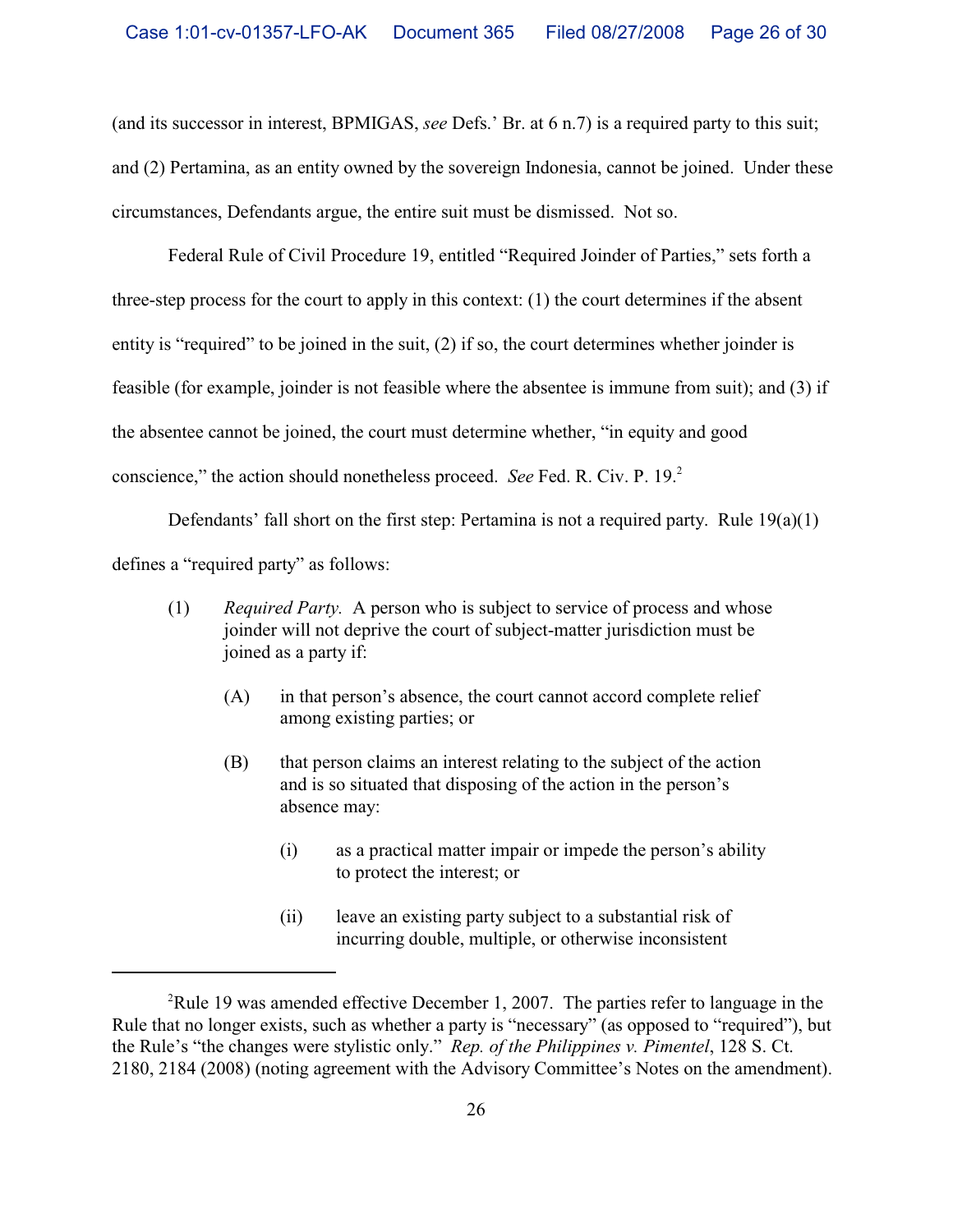(and its successor in interest, BPMIGAS, *see* Defs.' Br. at 6 n.7) is a required party to this suit; and (2) Pertamina, as an entity owned by the sovereign Indonesia, cannot be joined. Under these circumstances, Defendants argue, the entire suit must be dismissed. Not so.

Federal Rule of Civil Procedure 19, entitled "Required Joinder of Parties," sets forth a three-step process for the court to apply in this context: (1) the court determines if the absent entity is "required" to be joined in the suit, (2) if so, the court determines whether joinder is feasible (for example, joinder is not feasible where the absentee is immune from suit); and (3) if the absentee cannot be joined, the court must determine whether, "in equity and good conscience," the action should nonetheless proceed. *See* Fed. R. Civ. P. 19.2

Defendants' fall short on the first step: Pertamina is not a required party. Rule 19(a)(1) defines a "required party" as follows:

- (1) *Required Party.* A person who is subject to service of process and whose joinder will not deprive the court of subject-matter jurisdiction must be joined as a party if:
	- (A) in that person's absence, the court cannot accord complete relief among existing parties; or
	- (B) that person claims an interest relating to the subject of the action and is so situated that disposing of the action in the person's absence may:
		- (i) as a practical matter impair or impede the person's ability to protect the interest; or
		- (ii) leave an existing party subject to a substantial risk of incurring double, multiple, or otherwise inconsistent

<sup>&</sup>lt;sup>2</sup>Rule 19 was amended effective December 1, 2007. The parties refer to language in the Rule that no longer exists, such as whether a party is "necessary" (as opposed to "required"), but the Rule's "the changes were stylistic only." *Rep. of the Philippines v. Pimentel*, 128 S. Ct. 2180, 2184 (2008) (noting agreement with the Advisory Committee's Notes on the amendment).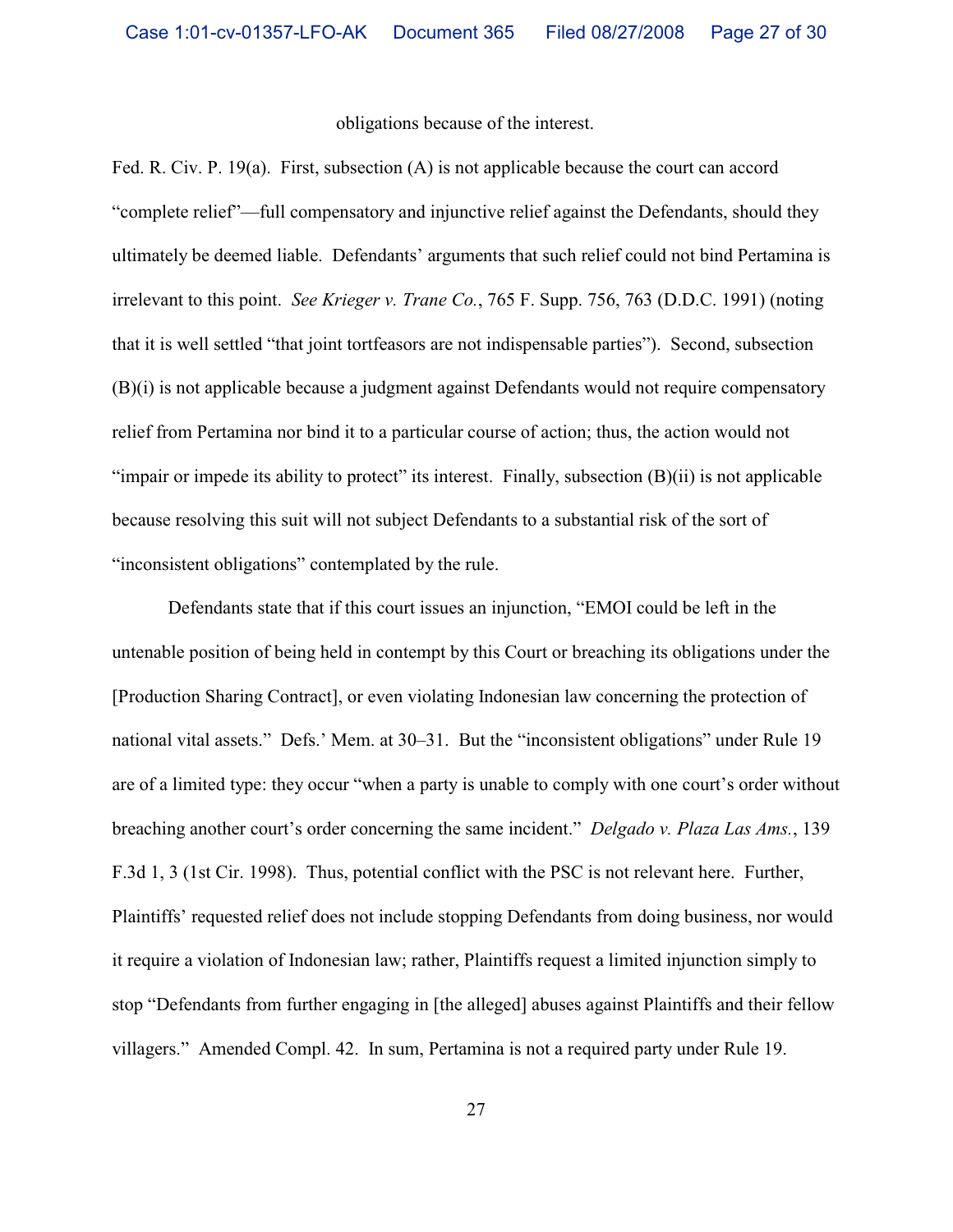### obligations because of the interest.

Fed. R. Civ. P. 19(a). First, subsection (A) is not applicable because the court can accord "complete relief"—full compensatory and injunctive relief against the Defendants, should they ultimately be deemed liable. Defendants' arguments that such relief could not bind Pertamina is irrelevant to this point. *See Krieger v. Trane Co.*, 765 F. Supp. 756, 763 (D.D.C. 1991) (noting that it is well settled "that joint tortfeasors are not indispensable parties"). Second, subsection (B)(i) is not applicable because a judgment against Defendants would not require compensatory relief from Pertamina nor bind it to a particular course of action; thus, the action would not "impair or impede its ability to protect" its interest. Finally, subsection (B)(ii) is not applicable because resolving this suit will not subject Defendants to a substantial risk of the sort of "inconsistent obligations" contemplated by the rule.

Defendants state that if this court issues an injunction, "EMOI could be left in the untenable position of being held in contempt by this Court or breaching its obligations under the [Production Sharing Contract], or even violating Indonesian law concerning the protection of national vital assets." Defs.' Mem. at 30–31. But the "inconsistent obligations" under Rule 19 are of a limited type: they occur "when a party is unable to comply with one court's order without breaching another court's order concerning the same incident." *Delgado v. Plaza Las Ams.*, 139 F.3d 1, 3 (1st Cir. 1998). Thus, potential conflict with the PSC is not relevant here. Further, Plaintiffs' requested relief does not include stopping Defendants from doing business, nor would it require a violation of Indonesian law; rather, Plaintiffs request a limited injunction simply to stop "Defendants from further engaging in [the alleged] abuses against Plaintiffs and their fellow villagers." Amended Compl. 42. In sum, Pertamina is not a required party under Rule 19.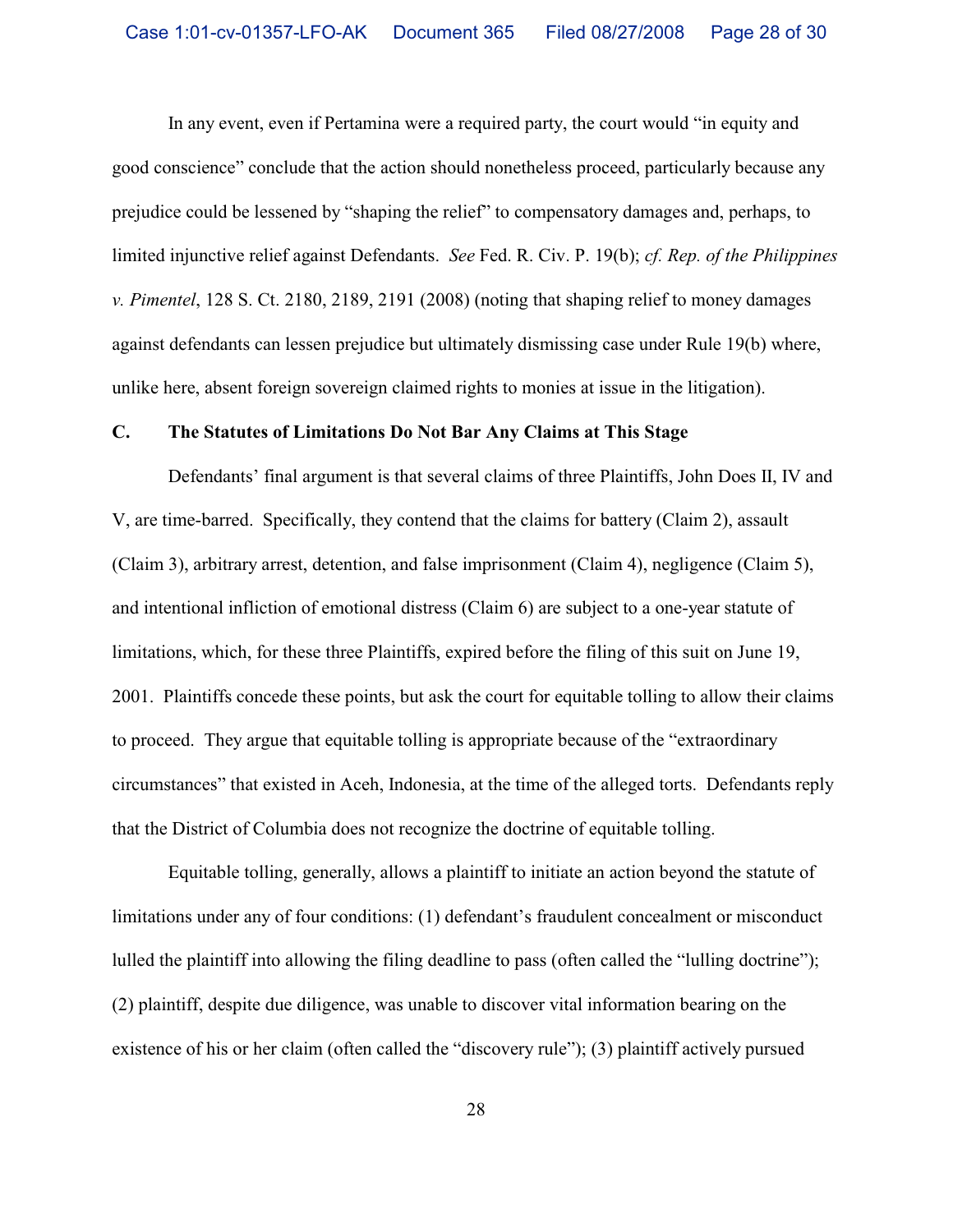In any event, even if Pertamina were a required party, the court would "in equity and good conscience" conclude that the action should nonetheless proceed, particularly because any prejudice could be lessened by "shaping the relief" to compensatory damages and, perhaps, to limited injunctive relief against Defendants. *See* Fed. R. Civ. P. 19(b); *cf. Rep. of the Philippines v. Pimentel*, 128 S. Ct. 2180, 2189, 2191 (2008) (noting that shaping relief to money damages against defendants can lessen prejudice but ultimately dismissing case under Rule 19(b) where, unlike here, absent foreign sovereign claimed rights to monies at issue in the litigation).

### **C. The Statutes of Limitations Do Not Bar Any Claims at This Stage**

Defendants' final argument is that several claims of three Plaintiffs, John Does II, IV and V, are time-barred. Specifically, they contend that the claims for battery (Claim 2), assault (Claim 3), arbitrary arrest, detention, and false imprisonment (Claim 4), negligence (Claim 5), and intentional infliction of emotional distress (Claim 6) are subject to a one-year statute of limitations, which, for these three Plaintiffs, expired before the filing of this suit on June 19, 2001. Plaintiffs concede these points, but ask the court for equitable tolling to allow their claims to proceed. They argue that equitable tolling is appropriate because of the "extraordinary circumstances" that existed in Aceh, Indonesia, at the time of the alleged torts. Defendants reply that the District of Columbia does not recognize the doctrine of equitable tolling.

Equitable tolling, generally, allows a plaintiff to initiate an action beyond the statute of limitations under any of four conditions: (1) defendant's fraudulent concealment or misconduct lulled the plaintiff into allowing the filing deadline to pass (often called the "lulling doctrine"); (2) plaintiff, despite due diligence, was unable to discover vital information bearing on the existence of his or her claim (often called the "discovery rule"); (3) plaintiff actively pursued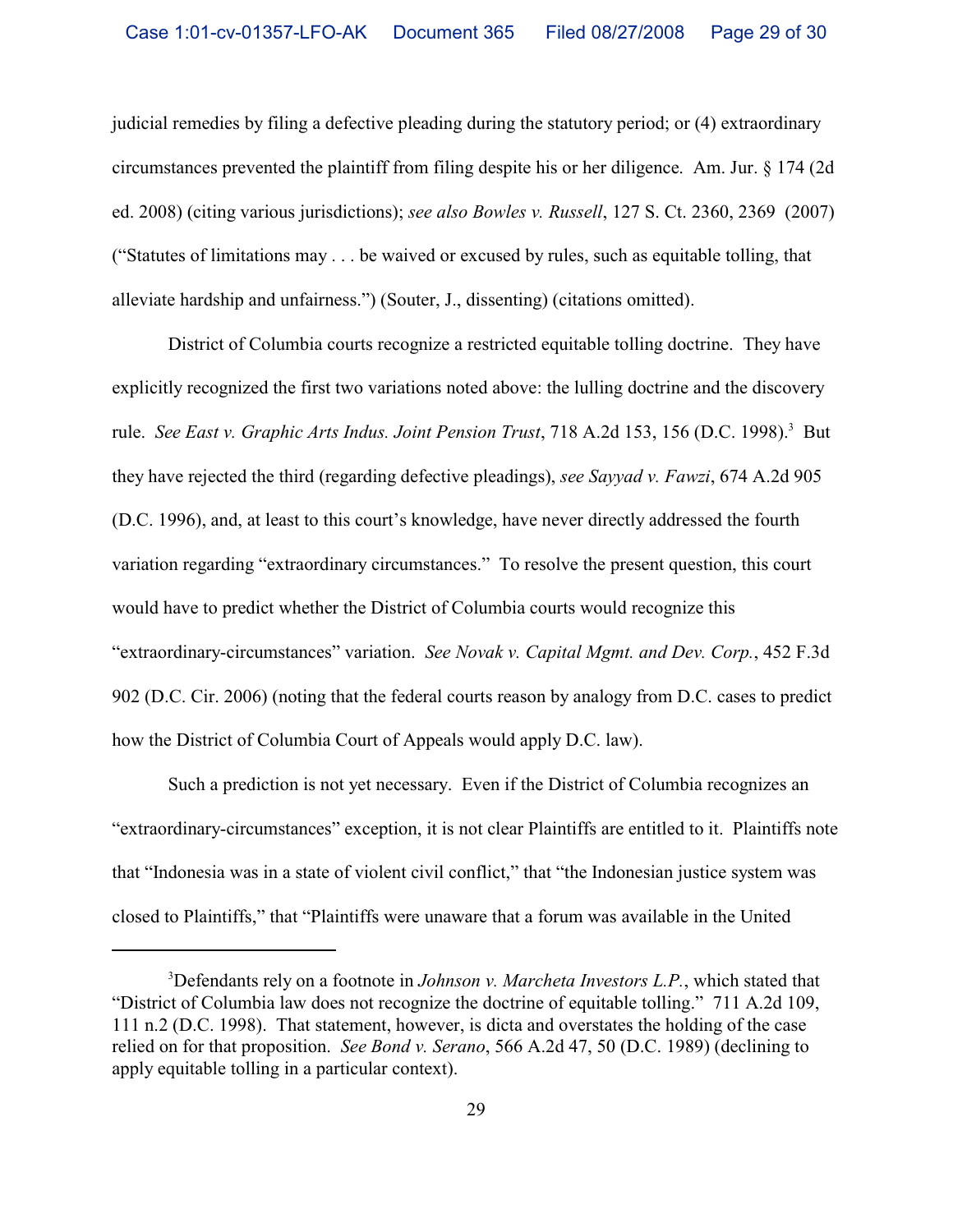judicial remedies by filing a defective pleading during the statutory period; or (4) extraordinary circumstances prevented the plaintiff from filing despite his or her diligence. Am. Jur. § 174 (2d ed. 2008) (citing various jurisdictions); *see also Bowles v. Russell*, 127 S. Ct. 2360, 2369 (2007) ("Statutes of limitations may . . . be waived or excused by rules, such as equitable tolling, that alleviate hardship and unfairness.") (Souter, J., dissenting) (citations omitted).

District of Columbia courts recognize a restricted equitable tolling doctrine. They have explicitly recognized the first two variations noted above: the lulling doctrine and the discovery rule. *See East v. Graphic Arts Indus. Joint Pension Trust*, 718 A.2d 153, 156 (D.C. 1998).<sup>3</sup> But they have rejected the third (regarding defective pleadings), *see Sayyad v. Fawzi*, 674 A.2d 905 (D.C. 1996), and, at least to this court's knowledge, have never directly addressed the fourth variation regarding "extraordinary circumstances." To resolve the present question, this court would have to predict whether the District of Columbia courts would recognize this "extraordinary-circumstances" variation. *See Novak v. Capital Mgmt. and Dev. Corp.*, 452 F.3d 902 (D.C. Cir. 2006) (noting that the federal courts reason by analogy from D.C. cases to predict how the District of Columbia Court of Appeals would apply D.C. law).

Such a prediction is not yet necessary. Even if the District of Columbia recognizes an "extraordinary-circumstances" exception, it is not clear Plaintiffs are entitled to it. Plaintiffs note that "Indonesia was in a state of violent civil conflict," that "the Indonesian justice system was closed to Plaintiffs," that "Plaintiffs were unaware that a forum was available in the United

<sup>&</sup>lt;sup>3</sup>Defendants rely on a footnote in *Johnson v. Marcheta Investors L.P.*, which stated that "District of Columbia law does not recognize the doctrine of equitable tolling." 711 A.2d 109, 111 n.2 (D.C. 1998). That statement, however, is dicta and overstates the holding of the case relied on for that proposition. *See Bond v. Serano*, 566 A.2d 47, 50 (D.C. 1989) (declining to apply equitable tolling in a particular context).